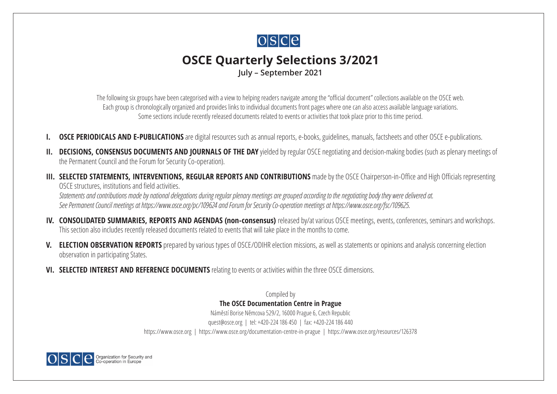

# **OSCE Quarterly Selections 3/2021 July – September 2021**

The following six groups have been categorised with a view to helping readers navigate among the "official document" collections available on the OSCE web. Each group is chronologically organized and provides links to individual documents front pages where one can also access available language variations. Some sections include recently released documents related to events or activities that took place prior to this time period.

- **[OSCE PERIODICALS AND E-PUBLICATIONS](#page-2-0)** are digital resources such as annual reports, e-books, guidelines, manuals, factsheets and other OSCE e-publications.
- **II.** [DECISIONS, CONSENSUS DOCUMENTS AND JOURNALS OF THE DAY](#page-6-0) yielded by regular OSCE negotiating and decision-making bodies (such as plenary meetings of the Permanent Council and the Forum for Security Co-operation).
- **III. [SELECTED STATEMENTS, INTERVENTIONS, REGULAR REPORTS AND CONTRIBUTIONS](#page-18-0)** made by the OSCE Chairperson-in-Office and High Officials representing OSCE structures, institutions and field activities.

*Statements and contributions made by national delegations during regular plenary meetings are grouped according to the negotiating body they were delivered at. See Permanent Council meetings at <https://www.osce.org/pc/109624> and Forum for Security Co-operation meetings at <https://www.osce.org/fsc/109625>*.

- **IV. [CONSOLIDATED SUMMARIES, REPORTS AND AGENDAS \(non-consensus\)](#page-21-0)** released by/at various OSCE meetings, events, conferences, seminars and workshops. This section also includes recently released documents related to events that will take place in the months to come.
- **V. [ELECTION OBSERVATION REPORTS](#page-22-0)** prepared by various types of OSCE/ODIHR election missions, as well as statements or opinions and analysis concerning election observation in participating States.
- **VI. [SELECTED INTEREST AND REFERENCE DOCUMENTS](#page-25-0)** relating to events or activities within the three OSCE dimensions.

Compiled by **The OSCE Documentation Centre in Prague** Náměstí Borise Němcova 529/2, 16000 Prague 6, Czech Republic quest@osce.org | tel: +420-224 186 450 | fax: +420-224 186 440 <https://www.osce.org> | <https://www.osce.org/documentation-centre-in-prague> | <https://www.osce.org/resources/126378>

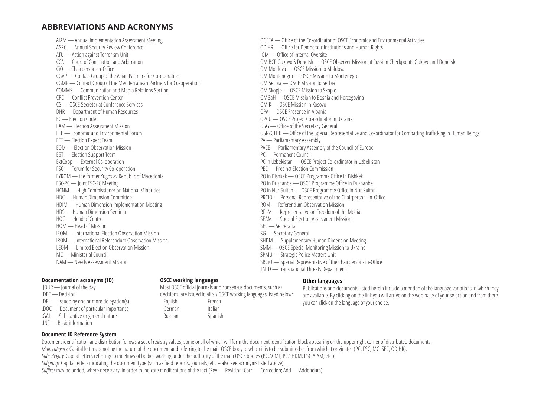## **ABBREVIATIONS AND ACRONYMS**

AIAM — Annual Implementation Assessment Meeting ASRC — Annual Security Review Conference ATU — Action against Terrorism Unit CCA — Court of Conciliation and Arbitration CiO — Chairperson-in-Office CGAP — Contact Group of the Asian Partners for Co-operation CGMP — Contact Group of the Mediterranean Partners for Co-operation COMMS — Communication and Media Relations Section CPC — Conflict Prevention Center CS — OSCE Secretariat Conference Services DHR — Department of Human Resources EC — Election Code EAM — Election Assessment Mission EEF — Economic and Environmental Forum EET — Election Expert Team EOM — Election Observation Mission EST — Election Support Team ExtCoop — External Co-operation FSC — Forum for Security Co-operation FYROM — the former Yugoslav Republic of Macedonia FSC-PC — Joint FSC-PC Meeting HCNM — High Commissioner on National Minorities HDC — Human Dimension Committee HDIM — Human Dimension Implementation Meeting HDS — Human Dimension Seminar HOC — Head of Centre HOM — Head of Mission IEOM — International Election Observation Mission IROM — International Referendum Observation Mission LEOM — Limited Election Observation Mission MC — Ministerial Council NAM — Needs Assessment Mission

#### **Documentation acronyms (ID)**

- .JOUR Journal of the day
- .DEC Decision
- .DEL Issued by one or more delegation(s)
- .DOC Document of particular importance
- .GAL Substantive or general nature
- .INF Basic information

### **OSCE working languages**

decisions, are issued in all six OSCE working languages listed below: English French German Italian Russian Spanish

#### **Other languages**

Publications and documents listed herein include a mention of the language variations in which they are available. By clicking on the link you will arrive on the web page of your selection and from there you can click on the language of your choice.

OCEEA — Office of the Co-ordinator of OSCE Economic and Environmental Activities ODIHR — Office for Democratic Institutions and Human Rights IOM — Office of Internal Oversite OM BCP Gukovo & Donetsk — OSCE Observer Mission at Russian Checkpoints Gukovo and Donetsk OM Moldova — OSCE Mission to Moldova OM Montenegro — OSCE Mission to Montenegro OM Serbia — OSCE Mission to Serbia OM Skopje — OSCE Mission to Skopje OMBaH — OSCE Mission to Bosnia and Herzegovina OMiK — OSCE Mission in Kosovo OPA — OSCE Presence in Albania OPCU — OSCE Project Co-ordinator in Ukraine OSG — Office of the Secretary General OSR/CTHB — Office of the Special Representative and Co-ordinator for Combatting Trafficking in Human Beings PA — Parliamentary Assembly PACE — Parliamentary Assembly of the Council of Europe PC — Permanent Council PC in Uzbekistan — OSCE Project Co-ordinator in Uzbekistan PEC — Precinct Election Commission PO in Bishkek — OSCE Programme Office in Bishkek PO in Dushanbe — OSCE Programme Office in Dushanbe PO in Nur-Sultan — OSCE Programme Office in Nur-Sultan PRCiO — Personal Representative of the Chairperson- in-Office ROM — Referendum Observation Mission RFoM — Representative on Freedom of the Media SEAM — Special Election Assessment Mission SEC — Secretariat SG — Secretary General SHDM — Supplementary Human Dimension Meeting SMM — OSCE Special Monitoring Mission to Ukraine SPMU — Strategic Police Matters Unit SRCiO — Special Representative of the Chairperson- in-Office TNTD — Transnational Threats Department

Most OSCE official journals and consensus documents, such as

**Document ID Reference System** Document identification and distribution follows a set of registry values, some or all of which will form the document identification block appearing on the upper right corner of distributed documents. *Main category:* Capital letters denoting the nature of the document and referring to the main OSCE body to which it is to be submitted or from which it originates (PC, FSC, MC, SEC, ODIHR). *Subcategory:* Capital letters referring to meetings of bodies working under the authority of the main OSCE bodies (PC.ACMF, PC.SHDM, FSC.AIAM, etc.). *Subgroup:* Capital letters indicating the document type (such as field reports, journals, etc. – also see acronyms listed above).

*Suffixes* may be added, where necessary, in order to indicate modifications of the text (Rev — Revision; Corr — Correction; Add — Addendum).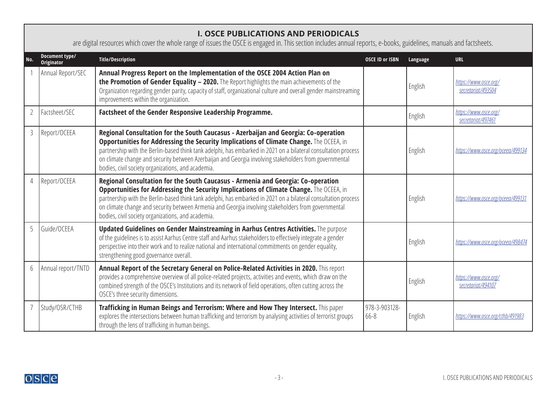## <span id="page-2-0"></span>**I. OSCE PUBLICATIONS AND PERIODICALS**

are digital resources which cover the whole range of issues the OSCE is engaged in. This section includes annual reports, e-books, guidelines, manuals and factsheets.

|   | Document type/<br><b>Originator</b> | <b>Title/Description</b>                                                                                                                                                                                                                                                                                                                                                                                                                                         | <b>OSCE ID or ISBN</b> | Language | <b>URL</b>                                  |
|---|-------------------------------------|------------------------------------------------------------------------------------------------------------------------------------------------------------------------------------------------------------------------------------------------------------------------------------------------------------------------------------------------------------------------------------------------------------------------------------------------------------------|------------------------|----------|---------------------------------------------|
|   | Annual Report/SEC                   | Annual Progress Report on the Implementation of the OSCE 2004 Action Plan on<br>the Promotion of Gender Equality - 2020. The Report highlights the main achievements of the<br>Organization regarding gender parity, capacity of staff, organizational culture and overall gender mainstreaming<br>improvements within the organization.                                                                                                                         |                        | English  | https://www.osce.org/<br>secretariat/493504 |
|   | Factsheet/SEC                       | Factsheet of the Gender Responsive Leadership Programme.                                                                                                                                                                                                                                                                                                                                                                                                         |                        | English  | https://www.osce.org/<br>secretariat/497461 |
| 3 | Report/OCEEA                        | Regional Consultation for the South Caucasus - Azerbaijan and Georgia: Co-operation<br>Opportunities for Addressing the Security Implications of Climate Change. The OCEEA, in<br>partnership with the Berlin-based think tank adelphi, has embarked in 2021 on a bilateral consultation process<br>on climate change and security between Azerbaijan and Georgia involving stakeholders from governmental<br>bodies, civil society organizations, and academia. |                        | English  | https://www.osce.org/oceea/499134           |
|   | Report/OCEEA                        | Regional Consultation for the South Caucasus - Armenia and Georgia: Co-operation<br>Opportunities for Addressing the Security Implications of Climate Change. The OCEEA, in<br>partnership with the Berlin-based think tank adelphi, has embarked in 2021 on a bilateral consultation process<br>on climate change and security between Armenia and Georgia involving stakeholders from governmental<br>bodies, civil society organizations, and academia.       |                        | English  | https://www.osce.org/oceea/499131           |
| 5 | Guide/OCEEA                         | Updated Guidelines on Gender Mainstreaming in Aarhus Centres Activities. The purpose<br>of the guidelines is to assist Aarhus Centre staff and Aarhus stakeholders to effectively integrate a gender<br>perspective into their work and to realize national and international commitments on gender equality,<br>strengthening good governance overall.                                                                                                          |                        | English  | https://www.osce.org/oceea/498474           |
|   | Annual report/TNTD                  | Annual Report of the Secretary General on Police-Related Activities in 2020. This report<br>provides a comprehensive overview of all police-related projects, activities and events, which draw on the<br>combined strength of the OSCE's Institutions and its network of field operations, often cutting across the<br>OSCE's three security dimensions.                                                                                                        |                        | English  | https://www.osce.org/<br>secretariat/494107 |
|   | Study/OSR/CTHB                      | Trafficking in Human Beings and Terrorism: Where and How They Intersect. This paper<br>explores the intersections between human trafficking and terrorism by analysing activities of terrorist groups<br>through the lens of trafficking in human beings.                                                                                                                                                                                                        | 978-3-903128-<br>66-8  | English  | https://www.osce.org/cthb/491983            |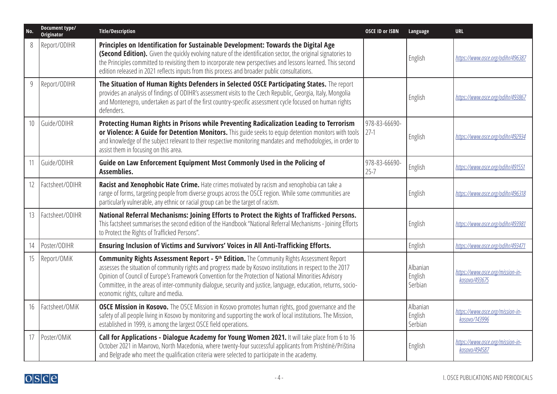| No. | Document type/<br><b>Originator</b> | <b>Title/Description</b>                                                                                                                                                                                                                                                                                                                                                                                                                                                          | <b>OSCE ID or ISBN</b>    | Language                       | <b>URL</b>                                        |
|-----|-------------------------------------|-----------------------------------------------------------------------------------------------------------------------------------------------------------------------------------------------------------------------------------------------------------------------------------------------------------------------------------------------------------------------------------------------------------------------------------------------------------------------------------|---------------------------|--------------------------------|---------------------------------------------------|
| 8   | Report/ODIHR                        | Principles on Identification for Sustainable Development: Towards the Digital Age<br>(Second Edition). Given the quickly evolving nature of the identification sector, the original signatories to<br>the Principles committed to revisiting them to incorporate new perspectives and lessons learned. This second<br>edition released in 2021 reflects inputs from this process and broader public consultations.                                                                |                           | English                        | https://www.osce.org/odihr/496387                 |
| 9   | Report/ODIHR                        | The Situation of Human Rights Defenders in Selected OSCE Participating States. The report<br>provides an analysis of findings of ODIHR's assessment visits to the Czech Republic, Georgia, Italy, Mongolia<br>and Montenegro, undertaken as part of the first country-specific assessment cycle focused on human rights<br>defenders.                                                                                                                                             |                           | English                        | https://www.osce.org/odihr/493867                 |
| 10  | Guide/ODIHR                         | Protecting Human Rights in Prisons while Preventing Radicalization Leading to Terrorism<br>or Violence: A Guide for Detention Monitors. This guide seeks to equip detention monitors with tools<br>and knowledge of the subject relevant to their respective monitoring mandates and methodologies, in order to<br>assist them in focusing on this area.                                                                                                                          | 978-83-66690-<br>$27-1$   | English                        | https://www.osce.org/odihr/492934                 |
|     | Guide/ODIHR                         | Guide on Law Enforcement Equipment Most Commonly Used in the Policing of<br>Assemblies.                                                                                                                                                                                                                                                                                                                                                                                           | 978-83-66690-<br>$25 - 7$ | English                        | https://www.osce.org/odihr/491551                 |
| 12  | Factsheet/ODIHR                     | Racist and Xenophobic Hate Crime. Hate crimes motivated by racism and xenophobia can take a<br>range of forms, targeting people from diverse groups across the OSCE region. While some communities are<br>particularly vulnerable, any ethnic or racial group can be the target of racism.                                                                                                                                                                                        |                           | English                        | https://www.osce.org/odihr/496318                 |
| 13  | Factsheet/ODIHR                     | National Referral Mechanisms: Joining Efforts to Protect the Rights of Trafficked Persons.<br>This factsheet summarises the second edition of the Handbook "National Referral Mechanisms - Joining Efforts<br>to Protect the Rights of Trafficked Persons".                                                                                                                                                                                                                       |                           | English                        | https://www.osce.org/odihr/493981                 |
| 14  | Poster/ODIHR                        | Ensuring Inclusion of Victims and Survivors' Voices in All Anti-Trafficking Efforts.                                                                                                                                                                                                                                                                                                                                                                                              |                           | English                        | https://www.osce.org/odihr/493471                 |
| 15  | Report/OMiK                         | <b>Community Rights Assessment Report - 5th Edition.</b> The Community Rights Assessment Report<br>assesses the situation of community rights and progress made by Kosovo institutions in respect to the 2017<br>Opinion of Council of Europe's Framework Convention for the Protection of National Minorities Advisory<br>Committee, in the areas of inter-community dialogue, security and justice, language, education, returns, socio-<br>economic rights, culture and media. |                           | Albanian<br>English<br>Serbian | https://www.osce.org/mission-in-<br>kosovo/493675 |
| 16  | Factsheet/OMiK                      | OSCE Mission in Kosovo. The OSCE Mission in Kosovo promotes human rights, good governance and the<br>safety of all people living in Kosovo by monitoring and supporting the work of local institutions. The Mission,<br>established in 1999, is among the largest OSCE field operations.                                                                                                                                                                                          |                           | Albanian<br>English<br>Serbian | https://www.osce.org/mission-in-<br>kosovo/143996 |
| 17  | Poster/OMiK                         | Call for Applications - Dialogue Academy for Young Women 2021. It will take place from 6 to 16<br>October 2021 in Mavrovo, North Macedonia, where twenty-four successful applicants from Prishtinë/Priština<br>and Belgrade who meet the qualification criteria were selected to participate in the academy.                                                                                                                                                                      |                           | English                        | https://www.osce.org/mission-in-<br>kosovo/494587 |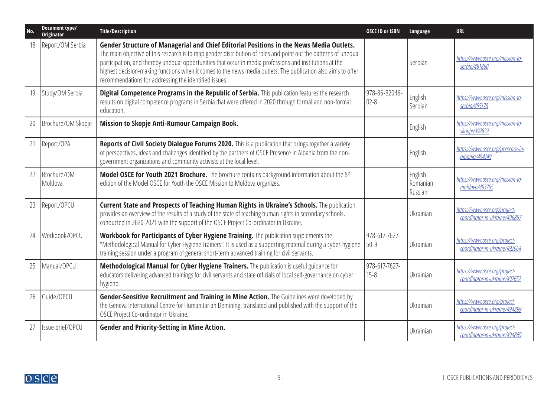| No. | Document type/<br>Originator | <b>Title/Description</b>                                                                                                                                                                                                                                                                                                                                                                                                                                                                          | <b>OSCE ID or ISBN</b>    | Language                       | <b>URL</b>                                                     |
|-----|------------------------------|---------------------------------------------------------------------------------------------------------------------------------------------------------------------------------------------------------------------------------------------------------------------------------------------------------------------------------------------------------------------------------------------------------------------------------------------------------------------------------------------------|---------------------------|--------------------------------|----------------------------------------------------------------|
| 18  | Report/OM Serbia             | Gender Structure of Managerial and Chief Editorial Positions in the News Media Outlets.<br>The main objective of this research is to map gender distribution of roles and point out the patterns of unequal<br>participation, and thereby unequal opportunities that occur in media professions and institutions at the<br>highest decision-making functions when it comes to the news media outlets. The publication also aims to offer<br>recommendations for addressing the identified issues. |                           | Serbian                        | https://www.osce.org/mission-to-<br>serbia/491860              |
| 19  | Study/OM Serbia              | Digital Competence Programs in the Republic of Serbia. This publication features the research<br>results on digital competence programs in Serbia that were offered in 2020 through formal and non-formal<br>education.                                                                                                                                                                                                                                                                           | 978-86-82046-<br>$02 - 8$ | English<br>Serbian             | https://www.osce.org/mission-to-<br>serbia/495178              |
| 20  | Brochure/OM Skopje           | Mission to Skopje Anti-Rumour Campaign Book.                                                                                                                                                                                                                                                                                                                                                                                                                                                      |                           | English                        | https://www.osce.org/mission-to-<br>skopje/492832              |
| 21  | Report/OPA                   | Reports of Civil Society Dialogue Forums 2020. This is a publication that brings together a variety<br>of perspectives, ideas and challenges identified by the partners of OSCE Presence in Albania from the non-<br>government organizations and community activists at the local level.                                                                                                                                                                                                         |                           | English                        | https://www.osce.org/presence-in-<br>albania/494149            |
| 22  | Brochure/OM<br>Moldova       | Model OSCE for Youth 2021 Brochure. The brochure contains background information about the 8th<br>edition of the Model OSCE for Youth the OSCE Mission to Moldova organizes.                                                                                                                                                                                                                                                                                                                      |                           | English<br>Romanian<br>Russian | https://www.osce.org/mission-to-<br>moldova/493765             |
| 23  | Report/OPCU                  | Current State and Prospects of Teaching Human Rights in Ukraine's Schools. The publication<br>provides an overview of the results of a study of the state of teaching human rights in secondary schools,<br>conducted in 2020-2021 with the support of the OSCE Project Co-ordinator in Ukraine.                                                                                                                                                                                                  |                           | Ukrainian                      | https://www.osce.org/project-<br>coordinator-in-ukraine/496897 |
| 24  | Workbook/OPCU                | Workbook for Participants of Cyber Hygiene Training. The publication supplements the<br>"Methodological Manual for Cyber Hygiene Trainers". It is used as a supporting material during a cyber-hygiene<br>training session under a program of general short-term advanced training for civil servants.                                                                                                                                                                                            | 978-617-7627-<br>$50-9$   | Ukrainian                      | https://www.osce.org/project-<br>coordinator-in-ukraine/492664 |
| 25  | Manual/OPCU                  | Methodological Manual for Cyber Hygiene Trainers. The publication is useful guidance for<br>educators delivering advanced trainings for civil servants and state officials of local self-governance on cyber<br>hygiene.                                                                                                                                                                                                                                                                          | 978-617-7627-<br>$15 - 8$ | Ukrainian                      | https://www.osce.org/project-<br>coordinator-in-ukraine/492652 |
| 26  | Guide/OPCU                   | Gender-Sensitive Recruitment and Training in Mine Action. The Guidelines were developed by<br>the Geneva International Centre for Humanitarian Demining, translated and published with the support of the<br>OSCE Project Co-ordinator in Ukraine.                                                                                                                                                                                                                                                |                           | Ukrainian                      | https://www.osce.org/project-<br>coordinator-in-ukraine/494899 |
| 27  | Issue brief/OPCU             | <b>Gender and Priority-Setting in Mine Action.</b>                                                                                                                                                                                                                                                                                                                                                                                                                                                |                           | Ukrainian                      | https://www.osce.org/project-<br>coordinator-in-ukraine/494869 |

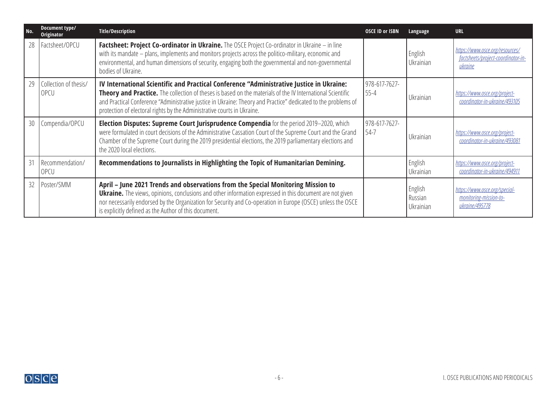| No. | Document type/<br>Originator  | <b>Title/Description</b>                                                                                                                                                                                                                                                                                                                                                                            | <b>OSCE ID or ISBN</b>    | Language                        | <b>URL</b>                                                                       |
|-----|-------------------------------|-----------------------------------------------------------------------------------------------------------------------------------------------------------------------------------------------------------------------------------------------------------------------------------------------------------------------------------------------------------------------------------------------------|---------------------------|---------------------------------|----------------------------------------------------------------------------------|
| 28  | Factsheet/OPCU                | Factsheet: Project Co-ordinator in Ukraine. The OSCE Project Co-ordinator in Ukraine - in line<br>with its mandate - plans, implements and monitors projects across the politico-military, economic and<br>environmental, and human dimensions of security, engaging both the governmental and non-governmental<br>bodies of Ukraine.                                                               |                           | English<br>Ukrainian            | https://www.osce.org/resources/<br>factsheets/project-coordinator-in-<br>ukraine |
| 29  | Collection of thesis/<br>OPCU | IV International Scientific and Practical Conference "Administrative Justice in Ukraine:<br>Theory and Practice. The collection of theses is based on the materials of the IV International Scientific<br>and Practical Conference "Administrative justice in Ukraine: Theory and Practice" dedicated to the problems of<br>protection of electoral rights by the Administrative courts in Ukraine. | 978-617-7627-<br>$55 - 4$ | Ukrainian                       | https://www.osce.org/project-<br>coordinator-in-ukraine/493105                   |
| 30  | Compendia/OPCU                | Election Disputes: Supreme Court Jurisprudence Compendia for the period 2019-2020, which<br>were formulated in court decisions of the Administrative Cassation Court of the Supreme Court and the Grand<br>Chamber of the Supreme Court during the 2019 presidential elections, the 2019 parliamentary elections and<br>the 2020 local elections.                                                   | 978-617-7627-<br>54-7     | Ukrainian                       | https://www.osce.org/project-<br>coordinator-in-ukraine/493081                   |
| 31  | Recommendation/<br>OPCU       | Recommendations to Journalists in Highlighting the Topic of Humanitarian Demining.                                                                                                                                                                                                                                                                                                                  |                           | English<br>Ukrainian            | https://www.osce.org/project-<br>coordinator-in-ukraine/494911                   |
|     | 32   Poster/SMM               | April - June 2021 Trends and observations from the Special Monitoring Mission to<br><b>Ukraine.</b> The views, opinions, conclusions and other information expressed in this document are not given<br>nor necessarily endorsed by the Organization for Security and Co-operation in Europe (OSCE) unless the OSCE<br>is explicitly defined as the Author of this document.                         |                           | English<br>Russian<br>Ukrainian | https://www.osce.org/special-<br>monitoring-mission-to-<br>ukraine/495778        |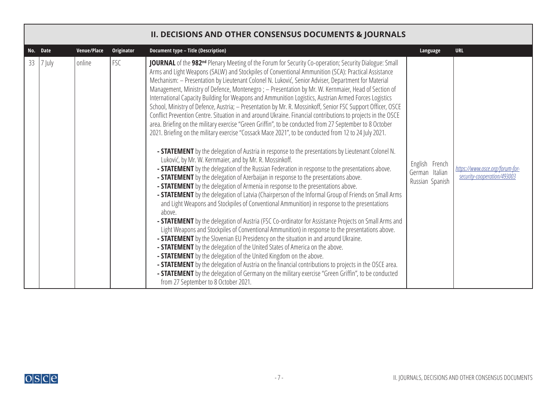<span id="page-6-0"></span>

|    |          |             |            | <b>II. DECISIONS AND OTHER CONSENSUS DOCUMENTS &amp; JOURNALS</b>                                                                                                                                                                                                                                                                                                                                                                                                                                                                                                                                                                                                                                                                                                                                                                                                                                                                                                                                                                                                                                                                                                                                                                                                                                                                                                                                                                                                                                                                                                                                                                                                                                                                                                                                                                                                                                                                                                                                                                                                                                                                                                                                                                                                                                                                                                                                                                                      |                                                     |                                                                |
|----|----------|-------------|------------|--------------------------------------------------------------------------------------------------------------------------------------------------------------------------------------------------------------------------------------------------------------------------------------------------------------------------------------------------------------------------------------------------------------------------------------------------------------------------------------------------------------------------------------------------------------------------------------------------------------------------------------------------------------------------------------------------------------------------------------------------------------------------------------------------------------------------------------------------------------------------------------------------------------------------------------------------------------------------------------------------------------------------------------------------------------------------------------------------------------------------------------------------------------------------------------------------------------------------------------------------------------------------------------------------------------------------------------------------------------------------------------------------------------------------------------------------------------------------------------------------------------------------------------------------------------------------------------------------------------------------------------------------------------------------------------------------------------------------------------------------------------------------------------------------------------------------------------------------------------------------------------------------------------------------------------------------------------------------------------------------------------------------------------------------------------------------------------------------------------------------------------------------------------------------------------------------------------------------------------------------------------------------------------------------------------------------------------------------------------------------------------------------------------------------------------------------------|-----------------------------------------------------|----------------------------------------------------------------|
|    | No. Date | Venue/Place | Originator | <b>Document type - Title (Description)</b>                                                                                                                                                                                                                                                                                                                                                                                                                                                                                                                                                                                                                                                                                                                                                                                                                                                                                                                                                                                                                                                                                                                                                                                                                                                                                                                                                                                                                                                                                                                                                                                                                                                                                                                                                                                                                                                                                                                                                                                                                                                                                                                                                                                                                                                                                                                                                                                                             | Language                                            | <b>URL</b>                                                     |
| 33 | 7 July   | online      | FSC        | JOURNAL of the 982 <sup>nd</sup> Plenary Meeting of the Forum for Security Co-operation; Security Dialogue: Small<br>Arms and Light Weapons (SALW) and Stockpiles of Conventional Ammunition (SCA): Practical Assistance<br>Mechanism: - Presentation by Lieutenant Colonel N. Luković, Senior Adviser, Department for Material<br>Management, Ministry of Defence, Montenegro; - Presentation by Mr. W. Kernmaier, Head of Section of<br>International Capacity Building for Weapons and Ammunition Logistics, Austrian Armed Forces Logistics<br>School, Ministry of Defence, Austria; - Presentation by Mr. R. Mossinkoff, Senior FSC Support Officer, OSCE<br>Conflict Prevention Centre. Situation in and around Ukraine. Financial contributions to projects in the OSCE<br>area. Briefing on the military exercise "Green Griffin", to be conducted from 27 September to 8 October<br>2021. Briefing on the military exercise "Cossack Mace 2021", to be conducted from 12 to 24 July 2021.<br>- <b>STATEMENT</b> by the delegation of Austria in response to the presentations by Lieutenant Colonel N.<br>Luković, by Mr. W. Kernmaier, and by Mr. R. Mossinkoff.<br>- <b>STATEMENT</b> by the delegation of the Russian Federation in response to the presentations above.<br>- <b>STATEMENT</b> by the delegation of Azerbaijan in response to the presentations above.<br>- <b>STATEMENT</b> by the delegation of Armenia in response to the presentations above.<br>- <b>STATEMENT</b> by the delegation of Latvia (Chairperson of the Informal Group of Friends on Small Arms<br>and Light Weapons and Stockpiles of Conventional Ammunition) in response to the presentations<br>above.<br>- STATEMENT by the delegation of Austria (FSC Co-ordinator for Assistance Projects on Small Arms and<br>Light Weapons and Stockpiles of Conventional Ammunition) in response to the presentations above.<br>- <b>STATEMENT</b> by the Slovenian EU Presidency on the situation in and around Ukraine.<br>- <b>STATEMENT</b> by the delegation of the United States of America on the above.<br>- <b>STATEMENT</b> by the delegation of the United Kingdom on the above.<br>- <b>STATEMENT</b> by the delegation of Austria on the financial contributions to projects in the OSCE area.<br>- <b>STATEMENT</b> by the delegation of Germany on the military exercise "Green Griffin", to be conducted<br>from 27 September to 8 October 2021. | English French<br>German Italian<br>Russian Spanish | https://www.osce.org/forum-for-<br>security-cooperation/493003 |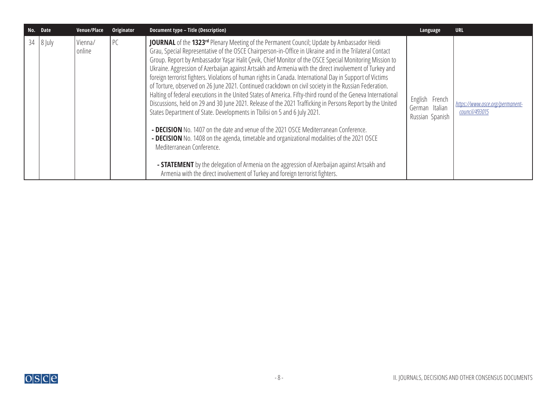|    | No. Date | Venue/Place       | Originator | Document type - Title (Description)                                                                                                                                                                                                                                                                                                                                                                                                                                                                                                                                                                                                                                                                                                                                                                                                                                                                                                                                                                                                                                                                                                                                                                                                                                                                                                                                                       | Language                                            | <b>URL</b>                                        |
|----|----------|-------------------|------------|-------------------------------------------------------------------------------------------------------------------------------------------------------------------------------------------------------------------------------------------------------------------------------------------------------------------------------------------------------------------------------------------------------------------------------------------------------------------------------------------------------------------------------------------------------------------------------------------------------------------------------------------------------------------------------------------------------------------------------------------------------------------------------------------------------------------------------------------------------------------------------------------------------------------------------------------------------------------------------------------------------------------------------------------------------------------------------------------------------------------------------------------------------------------------------------------------------------------------------------------------------------------------------------------------------------------------------------------------------------------------------------------|-----------------------------------------------------|---------------------------------------------------|
| 34 | $8$ July | Vienna/<br>online | l PC       | <b>JOURNAL</b> of the 1323 <sup>rd</sup> Plenary Meeting of the Permanent Council; Update by Ambassador Heidi<br>Grau, Special Representative of the OSCE Chairperson-in-Office in Ukraine and in the Trilateral Contact<br>Group. Report by Ambassador Yaşar Halit Çevik, Chief Monitor of the OSCE Special Monitoring Mission to<br>Ukraine. Aggression of Azerbaijan against Artsakh and Armenia with the direct involvement of Turkey and<br>foreign terrorist fighters. Violations of human rights in Canada. International Day in Support of Victims<br>of Torture, observed on 26 June 2021. Continued crackdown on civil society in the Russian Federation.<br>Halting of federal executions in the United States of America. Fifty-third round of the Geneva International<br>Discussions, held on 29 and 30 June 2021. Release of the 2021 Trafficking in Persons Report by the United<br>States Department of State. Developments in Tbilisi on 5 and 6 July 2021.<br>- DECISION No. 1407 on the date and venue of the 2021 OSCE Mediterranean Conference.<br>- DECISION No. 1408 on the agenda, timetable and organizational modalities of the 2021 OSCE<br>Mediterranean Conference.<br>- <b>STATEMENT</b> by the delegation of Armenia on the aggression of Azerbaijan against Artsakh and<br>Armenia with the direct involvement of Turkey and foreign terrorist fighters. | English French<br>German Italian<br>Russian Spanish | https://www.osce.org/permanent-<br>council/493015 |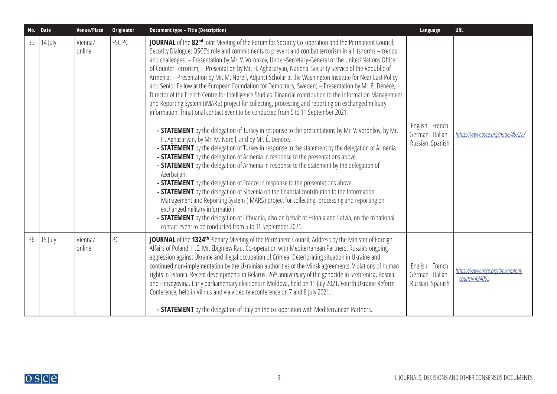|    | No. Date  | Venue/Place       | Originator | <b>Document type - Title (Description)</b>                                                                                                                                                                                                                                                                                                                                                                                                                                                                                                                                                                                                                                                                                                                                                                                                                                                                                                                                                                                                                                                                                                                                                                                                                                                                                                                                                                                                                                                                                                                                                                                                                                                                                                                                                                                                                                                                                                                    | Language                                            | <b>URL</b>                                        |
|----|-----------|-------------------|------------|---------------------------------------------------------------------------------------------------------------------------------------------------------------------------------------------------------------------------------------------------------------------------------------------------------------------------------------------------------------------------------------------------------------------------------------------------------------------------------------------------------------------------------------------------------------------------------------------------------------------------------------------------------------------------------------------------------------------------------------------------------------------------------------------------------------------------------------------------------------------------------------------------------------------------------------------------------------------------------------------------------------------------------------------------------------------------------------------------------------------------------------------------------------------------------------------------------------------------------------------------------------------------------------------------------------------------------------------------------------------------------------------------------------------------------------------------------------------------------------------------------------------------------------------------------------------------------------------------------------------------------------------------------------------------------------------------------------------------------------------------------------------------------------------------------------------------------------------------------------------------------------------------------------------------------------------------------------|-----------------------------------------------------|---------------------------------------------------|
| 35 | 14 July   | Vienna/<br>online | FSC-PC     | JOURNAL of the 82 <sup>nd</sup> Joint Meeting of the Forum for Security Co-operation and the Permanent Council;<br>Security Dialogue: OSCE's role and commitments to prevent and combat terrorism in all its forms - trends<br>and challenges: - Presentation by Mr. V. Voronkov, Under-Secretary-General of the United Nations Office<br>of Counter-Terrorism; - Presentation by Mr. H. Aghasaryan, National Security Service of the Republic of<br>Armenia; - Presentation by Mr. M. Norell, Adjunct Scholar at the Washington Institute for Near East Policy<br>and Senior Fellow at the European Foundation for Democracy, Sweden; - Presentation by Mr. É. Denécé,<br>Director of the French Centre for Intelligence Studies. Financial contribution to the Information Management<br>and Reporting System (iMARS) project for collecting, processing and reporting on exchanged military<br>information. Trinational contact event to be conducted from 5 to 11 September 2021.<br>- STATEMENT by the delegation of Turkey in response to the presentations by Mr. V. Voronkov, by Mr.<br>H. Aghasaryan, by Mr. M. Norell, and by Mr. É. Denécé.<br>- STATEMENT by the delegation of Turkey in response to the statement by the delegation of Armenia.<br>- STATEMENT by the delegation of Armenia in response to the presentations above.<br>- <b>STATEMENT</b> by the delegation of Armenia in response to the statement by the delegation of<br>Azerbaijan.<br>- STATEMENT by the delegation of France in response to the presentations above.<br>- STATEMENT by the delegation of Slovenia on the financial contribution to the Information<br>Management and Reporting System (iMARS) project for collecting, processing and reporting on<br>exchanged military information.<br>- STATEMENT by the delegation of Lithuania, also on behalf of Estonia and Latvia, on the trinational<br>contact event to be conducted from 5 to 11 September 2021. | English French<br>German Italian<br>Russian Spanish | https://www.osce.org/node/497227                  |
| 36 | $15$ July | Vienna/<br>online | PC         | <b>JOURNAL</b> of the 1324 <sup>th</sup> Plenary Meeting of the Permanent Council; Address by the Minister of Foreign<br>Affairs of Poland, H.E. Mr. Zbigniew Rau. Co-operation with Mediterranean Partners. Russia's ongoing<br>aggression against Ukraine and illegal occupation of Crimea. Deteriorating situation in Ukraine and<br>continued non-implementation by the Ukrainian authorities of the Minsk agreements. Violations of human<br>rights in Estonia. Recent developments in Belarus. 26 <sup>th</sup> anniversary of the genocide in Srebrenica, Bosnia<br>and Herzegovina. Early parliamentary elections in Moldova, held on 11 July 2021. Fourth Ukraine Reform<br>Conference, held in Vilnius and via video teleconference on 7 and 8 July 2021.<br>- <b>STATEMENT</b> by the delegation of Italy on the co-operation with Mediterranean Partners.                                                                                                                                                                                                                                                                                                                                                                                                                                                                                                                                                                                                                                                                                                                                                                                                                                                                                                                                                                                                                                                                                         | English French<br>German Italian<br>Russian Spanish | https://www.osce.org/permanent-<br>council/494005 |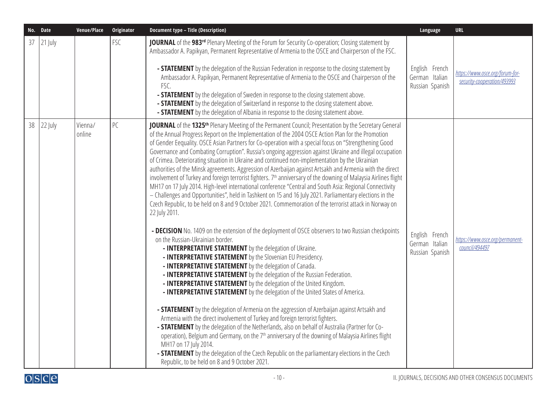|    | No. Date | Venue/Place       | Originator | <b>Document type - Title (Description)</b>                                                                                                                                                                                                                                                                                                                                                                                                                                                                                                                                                                                                                                                                                                                                                                                                                                                                                                                                                                                                                                                                                                                                                                                                                                                                                                                                                                                                                                                                                                                                                                                                                                                                                                                                                                                                                                                                                                                                                                                                                                                                                                                                                                                                                                                                  | Language                                            | URL                                                            |
|----|----------|-------------------|------------|-------------------------------------------------------------------------------------------------------------------------------------------------------------------------------------------------------------------------------------------------------------------------------------------------------------------------------------------------------------------------------------------------------------------------------------------------------------------------------------------------------------------------------------------------------------------------------------------------------------------------------------------------------------------------------------------------------------------------------------------------------------------------------------------------------------------------------------------------------------------------------------------------------------------------------------------------------------------------------------------------------------------------------------------------------------------------------------------------------------------------------------------------------------------------------------------------------------------------------------------------------------------------------------------------------------------------------------------------------------------------------------------------------------------------------------------------------------------------------------------------------------------------------------------------------------------------------------------------------------------------------------------------------------------------------------------------------------------------------------------------------------------------------------------------------------------------------------------------------------------------------------------------------------------------------------------------------------------------------------------------------------------------------------------------------------------------------------------------------------------------------------------------------------------------------------------------------------------------------------------------------------------------------------------------------------|-----------------------------------------------------|----------------------------------------------------------------|
| 37 | 21 July  |                   | FSC        | JOURNAL of the 983rd Plenary Meeting of the Forum for Security Co-operation; Closing statement by<br>Ambassador A. Papikyan, Permanent Representative of Armenia to the OSCE and Chairperson of the FSC.<br>- <b>STATEMENT</b> by the delegation of the Russian Federation in response to the closing statement by<br>Ambassador A. Papikyan, Permanent Representative of Armenia to the OSCE and Chairperson of the<br>FSC.<br>- <b>STATEMENT</b> by the delegation of Sweden in response to the closing statement above.<br>- <b>STATEMENT</b> by the delegation of Switzerland in response to the closing statement above.<br>- <b>STATEMENT</b> by the delegation of Albania in response to the closing statement above.                                                                                                                                                                                                                                                                                                                                                                                                                                                                                                                                                                                                                                                                                                                                                                                                                                                                                                                                                                                                                                                                                                                                                                                                                                                                                                                                                                                                                                                                                                                                                                                | English French<br>German Italian<br>Russian Spanish | https://www.osce.org/forum-for-<br>security-cooperation/493993 |
| 38 | 22 July  | Vienna/<br>online | PC         | JOURNAL of the 1325 <sup>th</sup> Plenary Meeting of the Permanent Council; Presentation by the Secretary General<br>of the Annual Progress Report on the Implementation of the 2004 OSCE Action Plan for the Promotion<br>of Gender Eequality. OSCE Asian Partners for Co-operation with a special focus on "Strengthening Good<br>Governance and Combating Corruption". Russia's ongoing aggression against Ukraine and illegal occupation<br>of Crimea. Deteriorating situation in Ukraine and continued non-implementation by the Ukrainian<br>authorities of the Minsk agreements. Aggression of Azerbaijan against Artsakh and Armenia with the direct<br>involvement of Turkey and foreign terrorist fighters. 7 <sup>th</sup> anniversary of the downing of Malaysia Airlines flight<br>MH17 on 17 July 2014. High-level international conference "Central and South Asia: Regional Connectivity<br>- Challenges and Opportunities", held in Tashkent on 15 and 16 July 2021. Parliamentary elections in the<br>Czech Republic, to be held on 8 and 9 October 2021. Commemoration of the terrorist attack in Norway on<br>22 July 2011.<br>- DECISION No. 1409 on the extension of the deployment of OSCE observers to two Russian checkpoints<br>on the Russian-Ukrainian border.<br>- INTERPRETATIVE STATEMENT by the delegation of Ukraine.<br>- INTERPRETATIVE STATEMENT by the Slovenian EU Presidency.<br>- INTERPRETATIVE STATEMENT by the delegation of Canada.<br>- INTERPRETATIVE STATEMENT by the delegation of the Russian Federation.<br>- INTERPRETATIVE STATEMENT by the delegation of the United Kingdom.<br>- INTERPRETATIVE STATEMENT by the delegation of the United States of America.<br>- STATEMENT by the delegation of Armenia on the aggression of Azerbaijan against Artsakh and<br>Armenia with the direct involvement of Turkey and foreign terrorist fighters.<br>- <b>STATEMENT</b> by the delegation of the Netherlands, also on behalf of Australia (Partner for Co-<br>operation), Belgium and Germany, on the 7 <sup>th</sup> anniversary of the downing of Malaysia Airlines flight<br>MH17 on 17 July 2014.<br>- STATEMENT by the delegation of the Czech Republic on the parliamentary elections in the Czech<br>Republic, to be held on 8 and 9 October 2021. | English French<br>German Italian<br>Russian Spanish | https://www.osce.org/permanent-<br>council/494497              |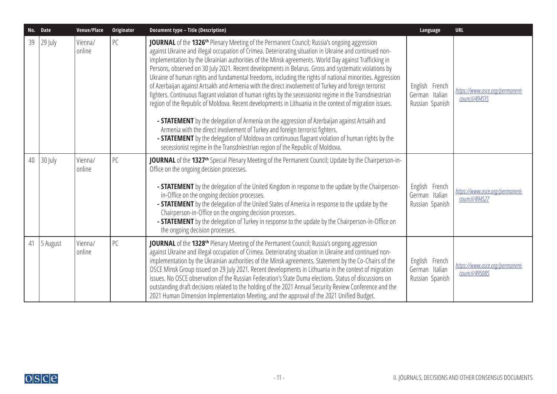| No. | Date     | Venue/Place       | Originator | <b>Document type - Title (Description)</b>                                                                                                                                                                                                                                                                                                                                                                                                                                                                                                                                                                                                                                                                                                                                                                                                                                                                                                                                                                                                                                                                                                                                                                                                               | Language                                            | <b>URL</b>                                        |
|-----|----------|-------------------|------------|----------------------------------------------------------------------------------------------------------------------------------------------------------------------------------------------------------------------------------------------------------------------------------------------------------------------------------------------------------------------------------------------------------------------------------------------------------------------------------------------------------------------------------------------------------------------------------------------------------------------------------------------------------------------------------------------------------------------------------------------------------------------------------------------------------------------------------------------------------------------------------------------------------------------------------------------------------------------------------------------------------------------------------------------------------------------------------------------------------------------------------------------------------------------------------------------------------------------------------------------------------|-----------------------------------------------------|---------------------------------------------------|
| 39  | 29 July  | Vienna/<br>online | PC         | JOURNAL of the 1326 <sup>th</sup> Plenary Meeting of the Permanent Council; Russia's ongoing aggression<br>against Ukraine and illegal occupation of Crimea. Deteriorating situation in Ukraine and continued non-<br>implementation by the Ukrainian authorities of the Minsk agreements. World Day against Trafficking in<br>Persons, observed on 30 July 2021. Recent developments in Belarus. Gross and systematic violations by<br>Ukraine of human rights and fundamental freedoms, including the rights of national minorities. Aggression<br>of Azerbaijan against Artsakh and Armenia with the direct involvement of Turkey and foreign terrorist<br>fighters. Continuous flagrant violation of human rights by the secessionist regime in the Transdniestrian<br>region of the Republic of Moldova. Recent developments in Lithuania in the context of migration issues.<br>- STATEMENT by the delegation of Armenia on the aggression of Azerbaijan against Artsakh and<br>Armenia with the direct involvement of Turkey and foreign terrorist fighters.<br>- STATEMENT by the delegation of Moldova on continuous flagrant violation of human rights by the<br>secessionist regime in the Transdniestrian region of the Republic of Moldova. | English French<br>German Italian<br>Russian Spanish | https://www.osce.org/permanent-<br>council/494515 |
| 40  | 30 July  | Vienna/<br>online | PC         | <b>JOURNAL</b> of the 1327 <sup>th</sup> Special Plenary Meeting of the Permanent Council; Update by the Chairperson-in-<br>Office on the ongoing decision processes.<br>- STATEMENT by the delegation of the United Kingdom in response to the update by the Chairperson-<br>in-Office on the ongoing decision processes.<br>- <b>STATEMENT</b> by the delegation of the United States of America in response to the update by the<br>Chairperson-in-Office on the ongoing decision processes.<br>- <b>STATEMENT</b> by the delegation of Turkey in response to the update by the Chairperson-in-Office on<br>the ongoing decision processes.                                                                                                                                                                                                                                                                                                                                                                                                                                                                                                                                                                                                           | English French<br>German Italian<br>Russian Spanish | https://www.osce.org/permanent-<br>council/494527 |
| 41  | 5 August | Vienna/<br>online | PC         | JOURNAL of the 1328 <sup>th</sup> Plenary Meeting of the Permanent Council; Russia's ongoing aggression<br>against Ukraine and illegal occupation of Crimea. Deteriorating situation in Ukraine and continued non-<br>implementation by the Ukrainian authorities of the Minsk agreements. Statement by the Co-Chairs of the<br>OSCE Minsk Group issued on 29 July 2021. Recent developments in Lithuania in the context of migration<br>issues. No OSCE observation of the Russian Federation's State Duma elections. Status of discussions on<br>outstanding draft decisions related to the holding of the 2021 Annual Security Review Conference and the<br>2021 Human Dimension Implementation Meeting, and the approval of the 2021 Unified Budget.                                                                                                                                                                                                                                                                                                                                                                                                                                                                                                 | English French<br>German Italian<br>Russian Spanish | https://www.osce.org/permanent-<br>council/495085 |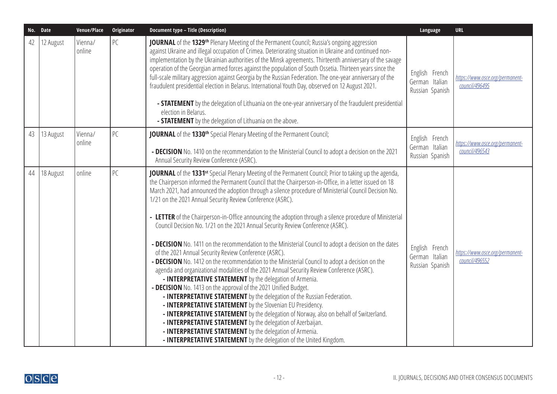|    | No. Date  | Venue/Place       | Originator | <b>Document type - Title (Description)</b>                                                                                                                                                                                                                                                                                                                                                                                                                                                                                                                                                                                                                                                                                                                                                                                                                                                                                                                                                                                                                                                                                                                                                                                                                                                                                                                                                                                                                                                                                                  | Language                                            | <b>URL</b>                                        |
|----|-----------|-------------------|------------|---------------------------------------------------------------------------------------------------------------------------------------------------------------------------------------------------------------------------------------------------------------------------------------------------------------------------------------------------------------------------------------------------------------------------------------------------------------------------------------------------------------------------------------------------------------------------------------------------------------------------------------------------------------------------------------------------------------------------------------------------------------------------------------------------------------------------------------------------------------------------------------------------------------------------------------------------------------------------------------------------------------------------------------------------------------------------------------------------------------------------------------------------------------------------------------------------------------------------------------------------------------------------------------------------------------------------------------------------------------------------------------------------------------------------------------------------------------------------------------------------------------------------------------------|-----------------------------------------------------|---------------------------------------------------|
| 42 | 12 August | Vienna/<br>online | РC         | <b>JOURNAL</b> of the 1329 <sup>th</sup> Plenary Meeting of the Permanent Council; Russia's ongoing aggression<br>against Ukraine and illegal occupation of Crimea. Deteriorating situation in Ukraine and continued non-<br>implementation by the Ukrainian authorities of the Minsk agreements. Thirteenth anniversary of the savage<br>operation of the Georgian armed forces against the population of South Ossetia. Thirteen years since the<br>full-scale military aggression against Georgia by the Russian Federation. The one-year anniversary of the<br>fraudulent presidential election in Belarus. International Youth Day, observed on 12 August 2021.<br>- <b>STATEMENT</b> by the delegation of Lithuania on the one-year anniversary of the fraudulent presidential<br>election in Belarus.<br>- <b>STATEMENT</b> by the delegation of Lithuania on the above.                                                                                                                                                                                                                                                                                                                                                                                                                                                                                                                                                                                                                                                             | English French<br>German Italian<br>Russian Spanish | https://www.osce.org/permanent-<br>council/496495 |
| 43 | 13 August | Vienna/<br>online | PC         | JOURNAL of the 1330 <sup>th</sup> Special Plenary Meeting of the Permanent Council;<br>- DECISION No. 1410 on the recommendation to the Ministerial Council to adopt a decision on the 2021<br>Annual Security Review Conference (ASRC).                                                                                                                                                                                                                                                                                                                                                                                                                                                                                                                                                                                                                                                                                                                                                                                                                                                                                                                                                                                                                                                                                                                                                                                                                                                                                                    | English French<br>German Italian<br>Russian Spanish | https://www.osce.org/permanent-<br>council/496543 |
| 44 | 18 August | online            | РC         | JOURNAL of the 1331 <sup>st</sup> Special Plenary Meeting of the Permanent Council; Prior to taking up the agenda,<br>the Chairperson informed the Permanent Council that the Chairperson-in-Office, in a letter issued on 18<br>March 2021, had announced the adoption through a silence procedure of Ministerial Council Decision No.<br>1/21 on the 2021 Annual Security Review Conference (ASRC).<br>- LETTER of the Chairperson-in-Office announcing the adoption through a silence procedure of Ministerial<br>Council Decision No. 1/21 on the 2021 Annual Security Review Conference (ASRC).<br>- DECISION No. 1411 on the recommendation to the Ministerial Council to adopt a decision on the dates<br>of the 2021 Annual Security Review Conference (ASRC).<br>- DECISION No. 1412 on the recommendation to the Ministerial Council to adopt a decision on the<br>agenda and organizational modalities of the 2021 Annual Security Review Conference (ASRC).<br>- INTERPRETATIVE STATEMENT by the delegation of Armenia.<br>- DECISION No. 1413 on the approval of the 2021 Unified Budget.<br>- INTERPRETATIVE STATEMENT by the delegation of the Russian Federation.<br>- INTERPRETATIVE STATEMENT by the Slovenian EU Presidency.<br>- INTERPRETATIVE STATEMENT by the delegation of Norway, also on behalf of Switzerland.<br>- INTERPRETATIVE STATEMENT by the delegation of Azerbaijan.<br>- INTERPRETATIVE STATEMENT by the delegation of Armenia.<br>- INTERPRETATIVE STATEMENT by the delegation of the United Kingdom. | English French<br>German Italian<br>Russian Spanish | https://www.osce.org/permanent-<br>council/496552 |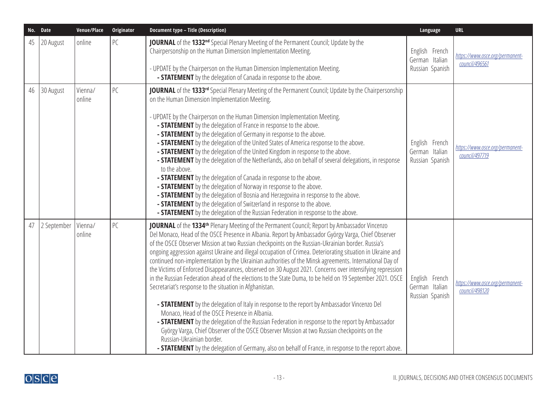|    | No. Date    | Venue/Place       | Originator | <b>Document type - Title (Description)</b>                                                                                                                                                                                                                                                                                                                                                                                                                                                                                                                                                                                                                                                                                                                                                                                                                                                                                                                                                                                                                                                                                                                                                                                                                                                                                         | Language                                            | <b>URL</b>                                        |
|----|-------------|-------------------|------------|------------------------------------------------------------------------------------------------------------------------------------------------------------------------------------------------------------------------------------------------------------------------------------------------------------------------------------------------------------------------------------------------------------------------------------------------------------------------------------------------------------------------------------------------------------------------------------------------------------------------------------------------------------------------------------------------------------------------------------------------------------------------------------------------------------------------------------------------------------------------------------------------------------------------------------------------------------------------------------------------------------------------------------------------------------------------------------------------------------------------------------------------------------------------------------------------------------------------------------------------------------------------------------------------------------------------------------|-----------------------------------------------------|---------------------------------------------------|
| 45 | 20 August   | online            | PC         | JOURNAL of the 1332 <sup>nd</sup> Special Plenary Meeting of the Permanent Council; Update by the<br>Chairpersonship on the Human Dimension Implementation Meeting.<br>- UPDATE by the Chairperson on the Human Dimension Implementation Meeting.<br>- <b>STATEMENT</b> by the delegation of Canada in response to the above.                                                                                                                                                                                                                                                                                                                                                                                                                                                                                                                                                                                                                                                                                                                                                                                                                                                                                                                                                                                                      | English French<br>German Italian<br>Russian Spanish | https://www.osce.org/permanent-<br>council/496561 |
| 46 | 30 August   | Vienna/<br>online | PC         | JOURNAL of the 1333rd Special Plenary Meeting of the Permanent Council; Update by the Chairpersonship<br>on the Human Dimension Implementation Meeting.<br>- UPDATE by the Chairperson on the Human Dimension Implementation Meeting.<br>- <b>STATEMENT</b> by the delegation of France in response to the above.<br>- <b>STATEMENT</b> by the delegation of Germany in response to the above.<br>- <b>STATEMENT</b> by the delegation of the United States of America response to the above.<br>- <b>STATEMENT</b> by the delegation of the United Kingdom in response to the above.<br>- <b>STATEMENT</b> by the delegation of the Netherlands, also on behalf of several delegations, in response<br>to the above.<br>- STATEMENT by the delegation of Canada in response to the above.<br>- <b>STATEMENT</b> by the delegation of Norway in response to the above.<br>- <b>STATEMENT</b> by the delegation of Bosnia and Herzegovina in response to the above.<br>- <b>STATEMENT</b> by the delegation of Switzerland in response to the above.<br>- <b>STATEMENT</b> by the delegation of the Russian Federation in response to the above.                                                                                                                                                                                    | English French<br>German Italian<br>Russian Spanish | https://www.osce.org/permanent-<br>council/497719 |
| 47 | 2 September | Vienna/<br>online | PC         | JOURNAL of the 1334 <sup>th</sup> Plenary Meeting of the Permanent Council; Report by Ambassador Vincenzo<br>Del Monaco, Head of the OSCE Presence in Albania. Report by Ambassador György Varga, Chief Observer<br>of the OSCE Observer Mission at two Russian checkpoints on the Russian-Ukrainian border. Russia's<br>ongoing aggression against Ukraine and illegal occupation of Crimea. Deteriorating situation in Ukraine and<br>continued non-implementation by the Ukrainian authorities of the Minsk agreements. International Day of<br>the Victims of Enforced Disappearances, observed on 30 August 2021. Concerns over intensifying repression<br>in the Russian Federation ahead of the elections to the State Duma, to be held on 19 September 2021. OSCE<br>Secretariat's response to the situation in Afghanistan.<br>- STATEMENT by the delegation of Italy in response to the report by Ambassador Vincenzo Del<br>Monaco, Head of the OSCE Presence in Albania.<br>- STATEMENT by the delegation of the Russian Federation in response to the report by Ambassador<br>György Varga, Chief Observer of the OSCE Observer Mission at two Russian checkpoints on the<br>Russian-Ukrainian border.<br>- <b>STATEMENT</b> by the delegation of Germany, also on behalf of France, in response to the report above. | English French<br>German Italian<br>Russian Spanish | https://www.osce.org/permanent-<br>council/498120 |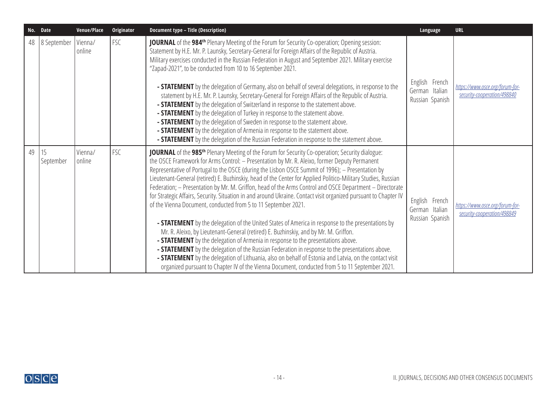|    | No. Date        | Venue/Place       | Originator | Document type - Title (Description)                                                                                                                                                                                                                                                                                                                                                                                                                                                                                                                                                                                                                                                                                                                                                                                                                                                                                                                                                                                                                                                                                                                                                                                                                                                                                                                        | Language                                            | <b>URL</b>                                                     |
|----|-----------------|-------------------|------------|------------------------------------------------------------------------------------------------------------------------------------------------------------------------------------------------------------------------------------------------------------------------------------------------------------------------------------------------------------------------------------------------------------------------------------------------------------------------------------------------------------------------------------------------------------------------------------------------------------------------------------------------------------------------------------------------------------------------------------------------------------------------------------------------------------------------------------------------------------------------------------------------------------------------------------------------------------------------------------------------------------------------------------------------------------------------------------------------------------------------------------------------------------------------------------------------------------------------------------------------------------------------------------------------------------------------------------------------------------|-----------------------------------------------------|----------------------------------------------------------------|
| 48 | 8 September     | Vienna/<br>online | FSC        | <b>JOURNAL</b> of the 984 <sup>th</sup> Plenary Meeting of the Forum for Security Co-operation; Opening session:<br>Statement by H.E. Mr. P. Launsky, Secretary-General for Foreign Affairs of the Republic of Austria.<br>Military exercises conducted in the Russian Federation in August and September 2021. Military exercise<br>"Zapad-2021", to be conducted from 10 to 16 September 2021.<br>- <b>STATEMENT</b> by the delegation of Germany, also on behalf of several delegations, in response to the<br>statement by H.E. Mr. P. Launsky, Secretary-General for Foreign Affairs of the Republic of Austria.<br>- <b>STATEMENT</b> by the delegation of Switzerland in response to the statement above.<br>- <b>STATEMENT</b> by the delegation of Turkey in response to the statement above.<br>- <b>STATEMENT</b> by the delegation of Sweden in response to the statement above.<br>- <b>STATEMENT</b> by the delegation of Armenia in response to the statement above.<br>- <b>STATEMENT</b> by the delegation of the Russian Federation in response to the statement above.                                                                                                                                                                                                                                                                  | English French<br>German Italian<br>Russian Spanish | https://www.osce.org/forum-for-<br>security-cooperation/498840 |
| 49 | 15<br>September | Vienna/<br>online | <b>FSC</b> | <b>JOURNAL</b> of the 985 <sup>th</sup> Plenary Meeting of the Forum for Security Co-operation; Security dialogue:<br>the OSCE Framework for Arms Control: - Presentation by Mr. R. Aleixo, former Deputy Permanent<br>Representative of Portugal to the OSCE (during the Lisbon OSCE Summit of 1996); - Presentation by<br>Lieutenant-General (retired) E. Buzhinskiy, head of the Center for Applied Politico-Military Studies, Russian<br>Federation; - Presentation by Mr. M. Griffon, head of the Arms Control and OSCE Department - Directorate<br>for Strategic Affairs, Security. Situation in and around Ukraine. Contact visit organized pursuant to Chapter IV<br>of the Vienna Document, conducted from 5 to 11 September 2021.<br>- STATEMENT by the delegation of the United States of America in response to the presentations by<br>Mr. R. Aleixo, by Lieutenant-General (retired) E. Buzhinskiy, and by Mr. M. Griffon.<br>- <b>STATEMENT</b> by the delegation of Armenia in response to the presentations above.<br>- <b>STATEMENT</b> by the delegation of the Russian Federation in response to the presentations above.<br>- STATEMENT by the delegation of Lithuania, also on behalf of Estonia and Latvia, on the contact visit<br>organized pursuant to Chapter IV of the Vienna Document, conducted from 5 to 11 September 2021. | English French<br>German Italian<br>Russian Spanish | https://www.osce.org/forum-for-<br>security-cooperation/498849 |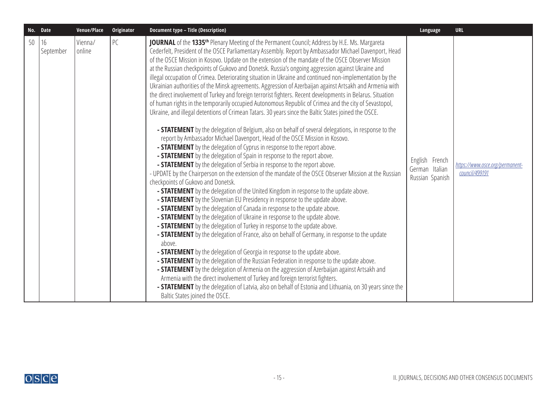|    | No. Date        | Venue/Place       | <b>Originator</b> | <b>Document type - Title (Description)</b>                                                                                                                                                                                                                                                                                                                                                                                                                                                                                                                                                                                                                                                                                                                                                                                                                                                                                                                                                                                                                                                                                                                                                                                                                                                                                                                                                                                                                                                                                                                                                                                                                                                                                                                                                                                                                                                                                                                                                                                                                                                                                                                                                                                                                                                                                                                                                                                                                                                                                                                                                                                                                                              | Language                                            | <b>URL</b>                                        |
|----|-----------------|-------------------|-------------------|-----------------------------------------------------------------------------------------------------------------------------------------------------------------------------------------------------------------------------------------------------------------------------------------------------------------------------------------------------------------------------------------------------------------------------------------------------------------------------------------------------------------------------------------------------------------------------------------------------------------------------------------------------------------------------------------------------------------------------------------------------------------------------------------------------------------------------------------------------------------------------------------------------------------------------------------------------------------------------------------------------------------------------------------------------------------------------------------------------------------------------------------------------------------------------------------------------------------------------------------------------------------------------------------------------------------------------------------------------------------------------------------------------------------------------------------------------------------------------------------------------------------------------------------------------------------------------------------------------------------------------------------------------------------------------------------------------------------------------------------------------------------------------------------------------------------------------------------------------------------------------------------------------------------------------------------------------------------------------------------------------------------------------------------------------------------------------------------------------------------------------------------------------------------------------------------------------------------------------------------------------------------------------------------------------------------------------------------------------------------------------------------------------------------------------------------------------------------------------------------------------------------------------------------------------------------------------------------------------------------------------------------------------------------------------------------|-----------------------------------------------------|---------------------------------------------------|
| 50 | 16<br>September | Vienna/<br>online | PC                | <b>JOURNAL</b> of the 1335 <sup>th</sup> Plenary Meeting of the Permanent Council; Address by H.E. Ms. Margareta<br>Cederfelt, President of the OSCE Parliamentary Assembly. Report by Ambassador Michael Davenport, Head<br>of the OSCE Mission in Kosovo. Update on the extension of the mandate of the OSCE Observer Mission<br>at the Russian checkpoints of Gukovo and Donetsk. Russia's ongoing aggression against Ukraine and<br>illegal occupation of Crimea. Deteriorating situation in Ukraine and continued non-implementation by the<br>Ukrainian authorities of the Minsk agreements. Aggression of Azerbaijan against Artsakh and Armenia with<br>the direct involvement of Turkey and foreign terrorist fighters. Recent developments in Belarus. Situation<br>of human rights in the temporarily occupied Autonomous Republic of Crimea and the city of Sevastopol,<br>Ukraine, and illegal detentions of Crimean Tatars. 30 years since the Baltic States joined the OSCE.<br>- STATEMENT by the delegation of Belgium, also on behalf of several delegations, in response to the<br>report by Ambassador Michael Davenport, Head of the OSCE Mission in Kosovo.<br>- <b>STATEMENT</b> by the delegation of Cyprus in response to the report above.<br>- <b>STATEMENT</b> by the delegation of Spain in response to the report above.<br>- <b>STATEMENT</b> by the delegation of Serbia in response to the report above.<br>- UPDATE by the Chairperson on the extension of the mandate of the OSCE Observer Mission at the Russian<br>checkpoints of Gukovo and Donetsk.<br>- <b>STATEMENT</b> by the delegation of the United Kingdom in response to the update above.<br>- <b>STATEMENT</b> by the Slovenian EU Presidency in response to the update above.<br>- <b>STATEMENT</b> by the delegation of Canada in response to the update above.<br>- <b>STATEMENT</b> by the delegation of Ukraine in response to the update above.<br>- <b>STATEMENT</b> by the delegation of Turkey in response to the update above.<br>- <b>STATEMENT</b> by the delegation of France, also on behalf of Germany, in response to the update<br>above.<br>- <b>STATEMENT</b> by the delegation of Georgia in response to the update above.<br>- <b>STATEMENT</b> by the delegation of the Russian Federation in response to the update above.<br>- <b>STATEMENT</b> by the delegation of Armenia on the aggression of Azerbaijan against Artsakh and<br>Armenia with the direct involvement of Turkey and foreign terrorist fighters.<br>- STATEMENT by the delegation of Latvia, also on behalf of Estonia and Lithuania, on 30 years since the<br>Baltic States joined the OSCE. | English French<br>German Italian<br>Russian Spanish | https://www.osce.org/permanent-<br>council/499191 |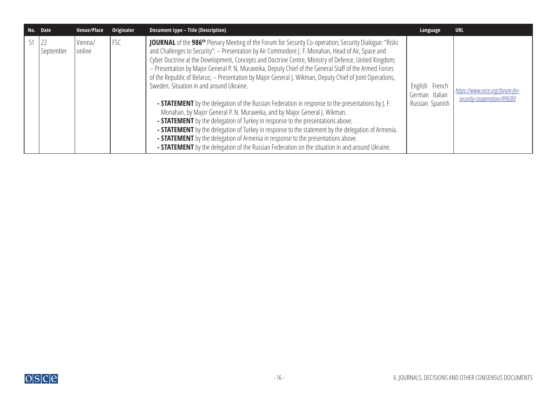| No. Date |                   | Venue/Place       | Originator | Document type - Title (Description)                                                                                                                                                                                                                                                                                                                                                                                                                                                                                                                                                                                                                                                                                                                                                                                                                                                                                                                                                                                                                                                                                                                                                         | Language                                            | <b>URL</b>                                                     |
|----------|-------------------|-------------------|------------|---------------------------------------------------------------------------------------------------------------------------------------------------------------------------------------------------------------------------------------------------------------------------------------------------------------------------------------------------------------------------------------------------------------------------------------------------------------------------------------------------------------------------------------------------------------------------------------------------------------------------------------------------------------------------------------------------------------------------------------------------------------------------------------------------------------------------------------------------------------------------------------------------------------------------------------------------------------------------------------------------------------------------------------------------------------------------------------------------------------------------------------------------------------------------------------------|-----------------------------------------------------|----------------------------------------------------------------|
| 51       | 22<br>  September | Vienna/<br>online | <b>FSC</b> | JOURNAL of the 986 <sup>th</sup> Plenary Meeting of the Forum for Security Co-operation; Security Dialogue: "Risks<br>and Challenges to Security": - Presentation by Air Commodore J. F. Monahan, Head of Air, Space and<br>Cyber Doctrine at the Development, Concepts and Doctrine Centre, Ministry of Defence, United Kingdom;<br>- Presentation by Major General P. N. Muraveika, Deputy Chief of the General Staff of the Armed Forces<br>of the Republic of Belarus; - Presentation by Major General J. Wikman, Deputy Chief of Joint Operations,<br>Sweden. Situation in and around Ukraine.<br><b>- STATEMENT</b> by the delegation of the Russian Federation in response to the presentations by J. F.<br>Monahan, by Major General P. N. Muraveika, and by Major General J. Wikman.<br>- STATEMENT by the delegation of Turkey in response to the presentations above.<br>- <b>STATEMENT</b> by the delegation of Turkey in response to the statement by the delegation of Armenia.<br>- STATEMENT by the delegation of Armenia in response to the presentations above.<br>- <b>STATEMENT</b> by the delegation of the Russian Federation on the situation in and around Ukraine. | English French<br>German Italian<br>Russian Spanish | https://www.osce.org/forum-for-<br>security-cooperation/499200 |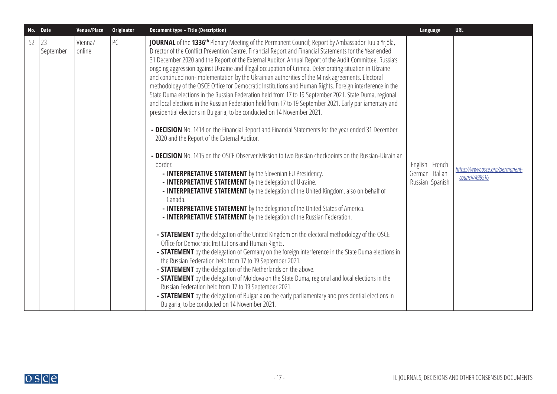|    | No. Date        | Venue/Place       | Originator | Document type - Title (Description)                                                                                                                                                                                                                                                                                                                                                                                                                                                                                                                                                                                                                                                                                                                                                                                                                                                                                                                                                                                                                                                                                                                                                                                                                                                                                                                                                                                                                                                                                                                                                                                                                                                                                                                                                                                                                                                                                                                                                                                                                                                                                                                                                                                                                                                                                                                                                  | Language                                            | <b>URL</b>                                        |
|----|-----------------|-------------------|------------|--------------------------------------------------------------------------------------------------------------------------------------------------------------------------------------------------------------------------------------------------------------------------------------------------------------------------------------------------------------------------------------------------------------------------------------------------------------------------------------------------------------------------------------------------------------------------------------------------------------------------------------------------------------------------------------------------------------------------------------------------------------------------------------------------------------------------------------------------------------------------------------------------------------------------------------------------------------------------------------------------------------------------------------------------------------------------------------------------------------------------------------------------------------------------------------------------------------------------------------------------------------------------------------------------------------------------------------------------------------------------------------------------------------------------------------------------------------------------------------------------------------------------------------------------------------------------------------------------------------------------------------------------------------------------------------------------------------------------------------------------------------------------------------------------------------------------------------------------------------------------------------------------------------------------------------------------------------------------------------------------------------------------------------------------------------------------------------------------------------------------------------------------------------------------------------------------------------------------------------------------------------------------------------------------------------------------------------------------------------------------------------|-----------------------------------------------------|---------------------------------------------------|
| 52 | 23<br>September | Vienna/<br>online | PC         | JOURNAL of the 1336 <sup>th</sup> Plenary Meeting of the Permanent Council; Report by Ambassador Tuula Yrjölä,<br>Director of the Conflict Prevention Centre. Financial Report and Financial Statements for the Year ended<br>31 December 2020 and the Report of the External Auditor. Annual Report of the Audit Committee. Russia's<br>ongoing aggression against Ukraine and illegal occupation of Crimea. Deteriorating situation in Ukraine<br>and continued non-implementation by the Ukrainian authorities of the Minsk agreements. Electoral<br>methodology of the OSCE Office for Democratic Institutions and Human Rights. Foreign interference in the<br>State Duma elections in the Russian Federation held from 17 to 19 September 2021. State Duma, regional<br>and local elections in the Russian Federation held from 17 to 19 September 2021. Early parliamentary and<br>presidential elections in Bulgaria, to be conducted on 14 November 2021.<br>- DECISION No. 1414 on the Financial Report and Financial Statements for the year ended 31 December<br>2020 and the Report of the External Auditor.<br>- DECISION No. 1415 on the OSCE Observer Mission to two Russian checkpoints on the Russian-Ukrainian<br>border.<br>- INTERPRETATIVE STATEMENT by the Slovenian EU Presidency.<br>- INTERPRETATIVE STATEMENT by the delegation of Ukraine.<br>- INTERPRETATIVE STATEMENT by the delegation of the United Kingdom, also on behalf of<br>Canada.<br>- INTERPRETATIVE STATEMENT by the delegation of the United States of America.<br>- INTERPRETATIVE STATEMENT by the delegation of the Russian Federation.<br>- <b>STATEMENT</b> by the delegation of the United Kingdom on the electoral methodology of the OSCE<br>Office for Democratic Institutions and Human Rights.<br>- STATEMENT by the delegation of Germany on the foreign interference in the State Duma elections in<br>the Russian Federation held from 17 to 19 September 2021.<br>- <b>STATEMENT</b> by the delegation of the Netherlands on the above.<br>- <b>STATEMENT</b> by the delegation of Moldova on the State Duma, regional and local elections in the<br>Russian Federation held from 17 to 19 September 2021.<br>- <b>STATEMENT</b> by the delegation of Bulgaria on the early parliamentary and presidential elections in<br>Bulgaria, to be conducted on 14 November 2021. | English French<br>German Italian<br>Russian Spanish | https://www.osce.org/permanent-<br>council/499516 |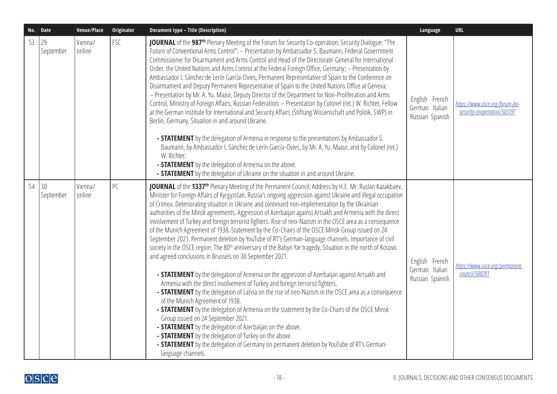| No. Date |                 | Venue/Place       | Originator | <b>Document type - Title (Description)</b>                                                                                                                                                                                                                                                                                                                                                                                                                                                                                                                                                                                                                                                                                                                                                                                                                                                                                                                                                                                                                                                                                                                                                                                                                                                                                                                                                                                                                                                                                                                                                                                                                                                                               | Language                                            | <b>URL</b>                                                     |
|----------|-----------------|-------------------|------------|--------------------------------------------------------------------------------------------------------------------------------------------------------------------------------------------------------------------------------------------------------------------------------------------------------------------------------------------------------------------------------------------------------------------------------------------------------------------------------------------------------------------------------------------------------------------------------------------------------------------------------------------------------------------------------------------------------------------------------------------------------------------------------------------------------------------------------------------------------------------------------------------------------------------------------------------------------------------------------------------------------------------------------------------------------------------------------------------------------------------------------------------------------------------------------------------------------------------------------------------------------------------------------------------------------------------------------------------------------------------------------------------------------------------------------------------------------------------------------------------------------------------------------------------------------------------------------------------------------------------------------------------------------------------------------------------------------------------------|-----------------------------------------------------|----------------------------------------------------------------|
| 53       | 29<br>September | Vienna/<br>online | <b>FSC</b> | JOURNAL of the 987 <sup>th</sup> Plenary Meeting of the Forum for Security Co-operation; Security Dialogue: "The<br>Future of Conventional Arms Control": - Presentation by Ambassador S. Baumann, Federal Government<br>Commissioner for Disarmament and Arms Control and Head of the Directorate-General for International<br>Order, the United Nations and Arms Control at the Federal Foreign Office, Germany; - Presentation by<br>Ambassador I. Sánchez de Lerín García-Ovies, Permanent Representative of Spain to the Conference on<br>Disarmament and Deputy Permanent Representative of Spain to the United Nations Office at Geneva;<br>- Presentation by Mr. A. Yu. Mazur, Deputy Director of the Department for Non-Proliferation and Arms<br>Control, Ministry of Foreign Affairs, Russian Federation; - Presentation by Colonel (ret.) W. Richter, Fellow<br>at the German Institute for International and Security Affairs (Stiftung Wissenschaft und Politik, SWP) in<br>Berlin, Germany. Situation in and around Ukraine.<br>- <b>STATEMENT</b> by the delegation of Armenia in response to the presentations by Ambassador S.<br>Baumann, by Ambassador I. Sánchez de Lerín García-Ovies, by Mr. A. Yu. Mazur, and by Colonel (ret.)<br>W. Richter.<br>- <b>STATEMENT</b> by the delegation of Armenia on the above.<br>- <b>STATEMENT</b> by the delegation of Ukraine on the situation in and around Ukraine.                                                                                                                                                                                                                                                                                       | English French<br>German Italian<br>Russian Spanish | https://www.osce.org/forum-for-<br>security-cooperation/503197 |
| 54       | 30<br>September | Vienna/<br>online | PC         | JOURNAL of the 1337 <sup>th</sup> Plenary Meeting of the Permanent Council; Address by H.E. Mr. Ruslan Kazakbaev,<br>Minister for Foreign Affairs of Kyrgyzstan. Russia's ongoing aggression against Ukraine and illegal occupation<br>of Crimea. Deteriorating situation in Ukraine and continued non-implementation by the Ukrainian<br>authorities of the Minsk agreements. Aggression of Azerbaijan against Artsakh and Armenia with the direct<br>involvement of Turkey and foreign terrorist fighters. Rise of neo-Nazism in the OSCE area as a consequence<br>of the Munich Agreement of 1938. Statement by the Co-Chairs of the OSCE Minsk Group issued on 24<br>September 2021. Permanent deletion by YouTube of RT's German-language channels. Importance of civil<br>society in the OSCE region. The 80 <sup>th</sup> anniversary of the Babyn Yar tragedy. Situation in the north of Kosovo<br>and agreed conclusions in Brussels on 30 September 2021.<br>- <b>STATEMENT</b> by the delegation of Armenia on the aggression of Azerbaijan against Artsakh and<br>Armenia with the direct involvement of Turkey and foreign terrorist fighters.<br>- <b>STATEMENT</b> by the delegation of Latvia on the rise of neo-Nazism in the OSCE area as a consequence<br>of the Munich Agreement of 1938.<br>- <b>STATEMENT</b> by the delegation of Armenia on the statement by the Co-Chairs of the OSCE Minsk<br>Group issued on 24 September 2021.<br>- <b>STATEMENT</b> by the delegation of Azerbaijan on the above.<br>- <b>STATEMENT</b> by the delegation of Turkey on the above.<br>- <b>STATEMENT</b> by the delegation of Germany on permanent deletion by YouTube of RT's German-<br>language channels. | English French<br>German Italian<br>Russian Spanish | https://www.osce.org/permanent-<br>council/500281              |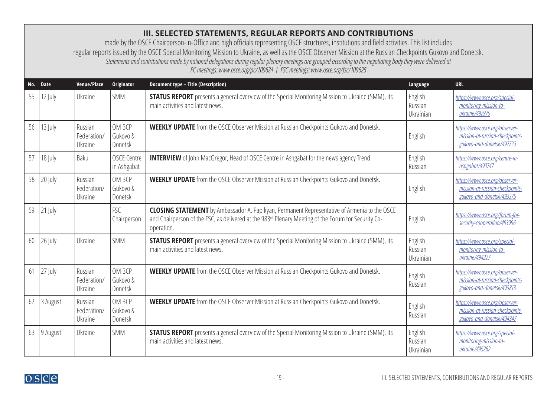## <span id="page-18-0"></span>**III. SELECTED STATEMENTS, REGULAR REPORTS AND CONTRIBUTIONS**

made by the OSCE Chairperson-in-Office and high officials representing OSCE structures, institutions and field activities. This list includes regular reports issued by the OSCE Special Monitoring Mission to Ukraine, as well as the OSCE Observer Mission at the Russian Checkpoints Gukovo and Donetsk. *Statements and contributions made by national delegations during regular plenary meetings are grouped according to the negotiating body they were delivered at PC meetings: [www.osce.org/pc/109624](http://www.osce.org/pc/109624) | FSC meetings: [www.osce.org/fsc/109625](http://www.osce.org/fsc/109625)*

| No. | <b>Date</b> | Venue/Place                       | Originator                        | <b>Document type - Title (Description)</b>                                                                                                                                                                               | Language                        | <b>URL</b>                                                                                     |
|-----|-------------|-----------------------------------|-----------------------------------|--------------------------------------------------------------------------------------------------------------------------------------------------------------------------------------------------------------------------|---------------------------------|------------------------------------------------------------------------------------------------|
| 55  | 12 July     | Ukraine                           | SMM                               | <b>STATUS REPORT</b> presents a general overview of the Special Monitoring Mission to Ukraine (SMM), its<br>main activities and latest news.                                                                             | English<br>Russian<br>Ukrainian | https://www.osce.org/special-<br>monitoring-mission-to-<br>ukraine/492970                      |
| 56  | 13 July     | Russian<br>Federation/<br>Ukraine | OM BCP<br>Gukovo &<br>Donetsk     | <b>WEEKLY UPDATE</b> from the OSCE Observer Mission at Russian Checkpoints Gukovo and Donetsk.                                                                                                                           | English                         | https://www.osce.org/observer-<br>mission-at-russian-checkpoints-<br>gukovo-and-donetsk/492733 |
| 57  | 18 July     | Baku                              | <b>OSCE Centre</b><br>in Ashgabat | <b>INTERVIEW</b> of John MacGregor, Head of OSCE Centre in Ashgabat for the news agency Trend.                                                                                                                           | English<br>Russian              | https://www.osce.org/centre-in-<br>ashgabat/493747                                             |
| 58  | 20 July     | Russian<br>Federation/<br>Ukraine | OM BCP<br>Gukovo &<br>Donetsk     | <b>WEEKLY UPDATE</b> from the OSCE Observer Mission at Russian Checkpoints Gukovo and Donetsk.                                                                                                                           | English                         | https://www.osce.org/observer-<br>mission-at-russian-checkpoints-<br>gukovo-and-donetsk/493375 |
| 59  | 21 July     |                                   | FSC<br>Chairperson                | <b>CLOSING STATEMENT</b> by Ambassador A. Papikyan, Permanent Representative of Armenia to the OSCE<br>and Chairperson of the FSC, as delivered at the 983rd Plenary Meeting of the Forum for Security Co-<br>operation. | English                         | https://www.osce.org/forum-for-<br>security-cooperation/493996                                 |
| 60  | $26$ July   | Ukraine                           | <b>SMM</b>                        | <b>STATUS REPORT</b> presents a general overview of the Special Monitoring Mission to Ukraine (SMM), its<br>main activities and latest news.                                                                             | English<br>Russian<br>Ukrainian | https://www.osce.org/special-<br>monitoring-mission-to-<br>ukraine/494227                      |
| 61  | 27 July     | Russian<br>Federation/<br>Ukraine | OM BCP<br>Gukovo &<br>Donetsk     | <b>WEEKLY UPDATE</b> from the OSCE Observer Mission at Russian Checkpoints Gukovo and Donetsk.                                                                                                                           | English<br>Russian              | https://www.osce.org/observer-<br>mission-at-russian-checkpoints-<br>gukovo-and-donetsk/493813 |
| 62  | 3 August    | Russian<br>Federation/<br>Ukraine | OM BCP<br>Gukovo &<br>Donetsk     | <b>WEEKLY UPDATE</b> from the OSCE Observer Mission at Russian Checkpoints Gukovo and Donetsk.                                                                                                                           | English<br>Russian              | https://www.osce.org/observer-<br>mission-at-russian-checkpoints-<br>gukovo-and-donetsk/494347 |
| 63  | 9 August    | Ukraine                           | <b>SMM</b>                        | <b>STATUS REPORT</b> presents a general overview of the Special Monitoring Mission to Ukraine (SMM), its<br>main activities and latest news.                                                                             | English<br>Russian<br>Ukrainian | https://www.osce.org/special-<br>monitoring-mission-to-<br>ukraine/495262                      |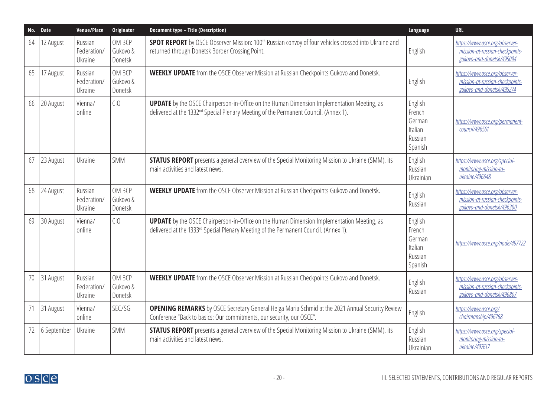| No. Date |             | Venue/Place                       | Originator                    | <b>Document type - Title (Description)</b>                                                                                                                                                            | Language                                                     | <b>URL</b>                                                                                     |
|----------|-------------|-----------------------------------|-------------------------------|-------------------------------------------------------------------------------------------------------------------------------------------------------------------------------------------------------|--------------------------------------------------------------|------------------------------------------------------------------------------------------------|
| 64       | 12 August   | Russian<br>Federation/<br>Ukraine | OM BCP<br>Gukovo &<br>Donetsk | <b>SPOT REPORT</b> by OSCE Observer Mission: 100 <sup>th</sup> Russian convoy of four vehicles crossed into Ukraine and<br>returned through Donetsk Border Crossing Point.                            | English                                                      | https://www.osce.org/observer-<br>mission-at-russian-checkpoints-<br>gukovo-and-donetsk/495094 |
| 65       | 17 August   | Russian<br>Federation/<br>Ukraine | OM BCP<br>Gukovo &<br>Donetsk | <b>WEEKLY UPDATE</b> from the OSCE Observer Mission at Russian Checkpoints Gukovo and Donetsk.                                                                                                        | English                                                      | https://www.osce.org/observer-<br>mission-at-russian-checkpoints-<br>gukovo-and-donetsk/495274 |
| 66       | 20 August   | Vienna/<br>online                 | Ci <sub>0</sub>               | <b>UPDATE</b> by the OSCE Chairperson-in-Office on the Human Dimension Implementation Meeting, as<br>delivered at the 1332 <sup>nd</sup> Special Plenary Meeting of the Permanent Council. (Annex 1). | English<br>French<br>German<br>Italian<br>Russian<br>Spanish | https://www.osce.org/permanent-<br>council/496561                                              |
| 67       | 23 August   | Ukraine                           | SMM                           | <b>STATUS REPORT</b> presents a general overview of the Special Monitoring Mission to Ukraine (SMM), its<br>main activities and latest news.                                                          | English<br>Russian<br>Ukrainian                              | https://www.osce.org/special-<br>monitoring-mission-to-<br>ukraine/496648                      |
| 68       | 24 August   | Russian<br>Federation/<br>Ukraine | OM BCP<br>Gukovo &<br>Donetsk | <b>WEEKLY UPDATE</b> from the OSCE Observer Mission at Russian Checkpoints Gukovo and Donetsk.                                                                                                        | English<br>Russian                                           | https://www.osce.org/observer-<br>mission-at-russian-checkpoints-<br>gukovo-and-donetsk/496300 |
| 69       | 30 August   | Vienna/<br>online                 | Ci <sub>0</sub>               | <b>UPDATE</b> by the OSCE Chairperson-in-Office on the Human Dimension Implementation Meeting, as<br>delivered at the 1333rd Special Plenary Meeting of the Permanent Council. (Annex 1).             | English<br>French<br>German<br>Italian<br>Russian<br>Spanish | https://www.osce.org/node/497722                                                               |
| 70       | 31 August   | Russian<br>Federation/<br>Ukraine | OM BCP<br>Gukovo &<br>Donetsk | <b>WEEKLY UPDATE</b> from the OSCE Observer Mission at Russian Checkpoints Gukovo and Donetsk.                                                                                                        | English<br>Russian                                           | https://www.osce.org/observer-<br>mission-at-russian-checkpoints-<br>gukovo-and-donetsk/496807 |
| 71       | 31 August   | Vienna/<br>online                 | SEC/SG                        | <b>OPENING REMARKS</b> by OSCE Secretary General Helga Maria Schmid at the 2021 Annual Security Review<br>Conference "Back to basics: Our commitments, our security, our OSCE".                       | English                                                      | https://www.osce.org/<br>chairmanship/496768                                                   |
| 72       | 6 September | Ukraine                           | SMM                           | <b>STATUS REPORT</b> presents a general overview of the Special Monitoring Mission to Ukraine (SMM), its<br>main activities and latest news.                                                          | English<br>Russian<br>Ukrainian                              | https://www.osce.org/special-<br>monitoring-mission-to-<br>ukraine/497617                      |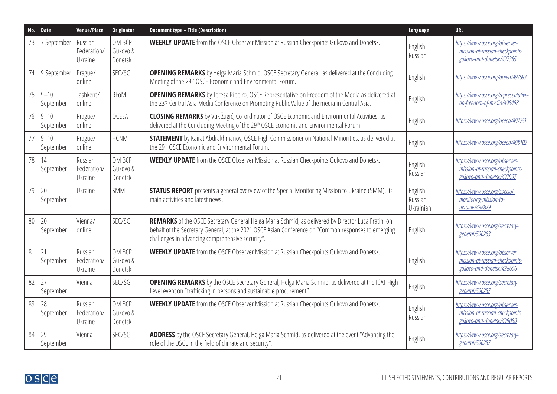| No. Date |                       | Venue/Place                       | <b>Originator</b>             | <b>Document type - Title (Description)</b>                                                                                                                                                                                                                    | Language                        | <b>URL</b>                                                                                     |
|----------|-----------------------|-----------------------------------|-------------------------------|---------------------------------------------------------------------------------------------------------------------------------------------------------------------------------------------------------------------------------------------------------------|---------------------------------|------------------------------------------------------------------------------------------------|
| 73       | 7 September           | Russian<br>Federation/<br>Ukraine | OM BCP<br>Gukovo &<br>Donetsk | <b>WEEKLY UPDATE</b> from the OSCE Observer Mission at Russian Checkpoints Gukovo and Donetsk.                                                                                                                                                                | English<br>Russian              | https://www.osce.org/observer-<br>mission-at-russian-checkpoints-<br>gukovo-and-donetsk/497365 |
| 74       | 9 September           | Prague/<br>online                 | SEC/SG                        | <b>OPENING REMARKS</b> by Helga Maria Schmid, OSCE Secretary General, as delivered at the Concluding<br>Meeting of the 29th OSCE Economic and Environmental Forum.                                                                                            | English                         | https://www.osce.org/oceea/497593                                                              |
| 75       | $9 - 10$<br>September | Tashkent/<br>online               | <b>RFoM</b>                   | <b>OPENING REMARKS</b> by Teresa Ribeiro, OSCE Representative on Freedom of the Media as delivered at<br>the 23rd Central Asia Media Conference on Promoting Public Value of the media in Central Asia.                                                       | English                         | https://www.osce.org/representative-<br>on-freedom-of-media/498498                             |
| 76       | $9 - 10$<br>September | Prague/<br>online                 | <b>OCEEA</b>                  | <b>CLOSING REMARKS</b> by Vuk Žugić, Co-ordinator of OSCE Economic and Environmental Activities, as<br>delivered at the Concluding Meeting of the 29 <sup>th</sup> OSCE Economic and Environmental Forum.                                                     | English                         | https://www.osce.org/oceea/497751                                                              |
| 77       | $9 - 10$<br>September | Prague/<br>online                 | <b>HCNM</b>                   | <b>STATEMENT</b> by Kairat Abdrakhmanov, OSCE High Commissioner on National Minorities, as delivered at<br>the 29th OSCE Economic and Environmental Forum.                                                                                                    | English                         | https://www.osce.org/oceea/498102                                                              |
| 78       | 14<br>September       | Russian<br>Federation/<br>Ukraine | OM BCP<br>Gukovo &<br>Donetsk | <b>WEEKLY UPDATE</b> from the OSCE Observer Mission at Russian Checkpoints Gukovo and Donetsk.                                                                                                                                                                | English<br>Russian              | https://www.osce.org/observer-<br>mission-at-russian-checkpoints-<br>gukovo-and-donetsk/497907 |
| 79       | 20<br>September       | Ukraine                           | <b>SMM</b>                    | <b>STATUS REPORT</b> presents a general overview of the Special Monitoring Mission to Ukraine (SMM), its<br>main activities and latest news.                                                                                                                  | English<br>Russian<br>Ukrainian | https://www.osce.org/special-<br>monitoring-mission-to-<br>ukraine/498879                      |
| 80       | 20<br>September       | Vienna/<br>online                 | SEC/SG                        | REMARKS of the OSCE Secretary General Helga Maria Schmid, as delivered by Director Luca Fratini on<br>behalf of the Secretary General, at the 2021 OSCE Asian Conference on "Common responses to emerging<br>challenges in advancing comprehensive security". | English                         | https://www.osce.org/secretary-<br>general/500263                                              |
| 81       | 21<br>September       | Russian<br>Federation/<br>Ukraine | OM BCP<br>Gukovo &<br>Donetsk | <b>WEEKLY UPDATE</b> from the OSCE Observer Mission at Russian Checkpoints Gukovo and Donetsk.                                                                                                                                                                | English                         | https://www.osce.org/observer-<br>mission-at-russian-checkpoints-<br>gukovo-and-donetsk/498606 |
| 82       | 27<br>September       | Vienna                            | SEC/SG                        | <b>OPENING REMARKS</b> by the OSCE Secretary General, Helga Maria Schmid, as delivered at the ICAT High-<br>Level event on "trafficking in persons and sustainable procurement".                                                                              | English                         | https://www.osce.org/secretary-<br>general/500257                                              |
| 83       | 28<br>September       | Russian<br>Federation/<br>Ukraine | OM BCP<br>Gukovo &<br>Donetsk | <b>WEEKLY UPDATE</b> from the OSCE Observer Mission at Russian Checkpoints Gukovo and Donetsk.                                                                                                                                                                | English<br>Russian              | https://www.osce.org/observer-<br>mission-at-russian-checkpoints-<br>gukovo-and-donetsk/499080 |
| 84       | 29<br>September       | Vienna                            | SEC/SG                        | ADDRESS by the OSCE Secretary General, Helga Maria Schmid, as delivered at the event "Advancing the<br>role of the OSCE in the field of climate and security".                                                                                                | English                         | https://www.osce.org/secretary-<br>general/500257                                              |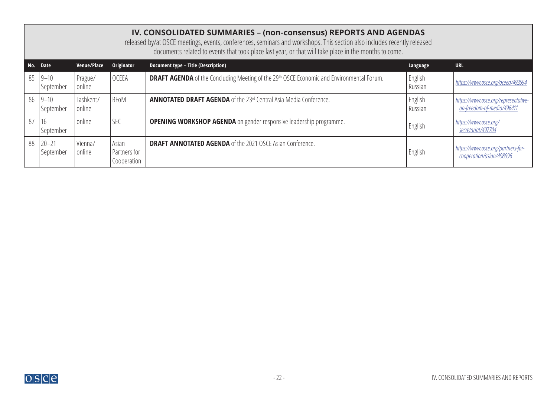<span id="page-21-0"></span>

|    | IV. CONSOLIDATED SUMMARIES - (non-consensus) REPORTS AND AGENDAS<br>released by/at OSCE meetings, events, conferences, seminars and workshops. This section also includes recently released<br>documents related to events that took place last year, or that will take place in the months to come. |                     |                                      |                                                                                                              |                    |                                                                    |  |  |  |
|----|------------------------------------------------------------------------------------------------------------------------------------------------------------------------------------------------------------------------------------------------------------------------------------------------------|---------------------|--------------------------------------|--------------------------------------------------------------------------------------------------------------|--------------------|--------------------------------------------------------------------|--|--|--|
|    | No. Date                                                                                                                                                                                                                                                                                             | Venue/Place         | Originator                           | Document type - Title (Description)                                                                          | Language           | <b>URL</b>                                                         |  |  |  |
| 85 | $9 - 10$<br>September                                                                                                                                                                                                                                                                                | Prague/<br>online   | <b>OCEEA</b>                         | <b>DRAFT AGENDA</b> of the Concluding Meeting of the 29 <sup>th</sup> OSCE Economic and Environmental Forum. | English<br>Russian | https://www.osce.org/oceea/493594                                  |  |  |  |
| 86 | $9 - 10$<br>  September                                                                                                                                                                                                                                                                              | Tashkent/<br>online | RFoM                                 | <b>ANNOTATED DRAFT AGENDA</b> of the 23rd Central Asia Media Conference.                                     | English<br>Russian | https://www.osce.org/representative-<br>on-freedom-of-media/496411 |  |  |  |
| 87 | 16<br>September                                                                                                                                                                                                                                                                                      | online              | <b>SEC</b>                           | <b>OPENING WORKSHOP AGENDA</b> on gender responsive leadership programme.                                    | English            | https://www.osce.org/<br>secretariat/497704                        |  |  |  |
| 88 | $20 - 21$<br>September                                                                                                                                                                                                                                                                               | Vienna/<br>online   | Asian<br>Partners for<br>Cooperation | <b>DRAFT ANNOTATED AGENDA</b> of the 2021 OSCE Asian Conference.                                             | English            | https://www.osce.org/partners-for-<br>cooperation/asian/498996     |  |  |  |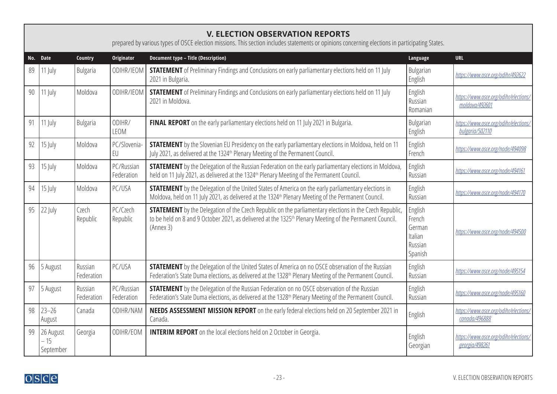|     | <b>V. ELECTION OBSERVATION REPORTS</b><br>prepared by various types of OSCE election missions. This section includes statements or opinions concerning elections in participating States. |                       |                          |                                                                                                                                                                                                                                                     |                                                              |                                                          |  |  |  |  |  |
|-----|-------------------------------------------------------------------------------------------------------------------------------------------------------------------------------------------|-----------------------|--------------------------|-----------------------------------------------------------------------------------------------------------------------------------------------------------------------------------------------------------------------------------------------------|--------------------------------------------------------------|----------------------------------------------------------|--|--|--|--|--|
| No. | Date                                                                                                                                                                                      | Country               | Originator               | <b>Document type - Title (Description)</b>                                                                                                                                                                                                          | Language                                                     | <b>URL</b>                                               |  |  |  |  |  |
| 89  | 11 July                                                                                                                                                                                   | Bulgaria              | ODIHR/IEOM               | <b>STATEMENT</b> of Preliminary Findings and Conclusions on early parliamentary elections held on 11 July<br>2021 in Bulgaria.                                                                                                                      | Bulgarian<br>English                                         | https://www.osce.org/odihr/492622                        |  |  |  |  |  |
| 90  | $11$ July                                                                                                                                                                                 | Moldova               | ODIHR/IEOM               | <b>STATEMENT</b> of Preliminary Findings and Conclusions on early parliamentary elections held on 11 July<br>2021 in Moldova.                                                                                                                       | English<br>Russian<br>Romanian                               | https://www.osce.org/odihr/elections/<br>moldova/492601  |  |  |  |  |  |
| 91  | $11$ July                                                                                                                                                                                 | Bulgaria              | ODIHR/<br><b>LEOM</b>    | FINAL REPORT on the early parliamentary elections held on 11 July 2021 in Bulgaria.                                                                                                                                                                 | Bulgarian<br>English                                         | https://www.osce.org/odihr/elections/<br>bulgaria/502110 |  |  |  |  |  |
| 92  | 15 July                                                                                                                                                                                   | Moldova               | PC/Slovenia-<br>EU       | <b>STATEMENT</b> by the Slovenian EU Presidency on the early parliamentary elections in Moldova, held on 11<br>July 2021, as delivered at the 1324 <sup>th</sup> Plenary Meeting of the Permanent Council.                                          | English<br>French                                            | https://www.osce.org/node/494098                         |  |  |  |  |  |
| 93  | 15 July                                                                                                                                                                                   | Moldova               | PC/Russian<br>Federation | <b>STATEMENT</b> by the Delegation of the Russian Federation on the early parliamentary elections in Moldova,<br>held on 11 July 2021, as delivered at the 1324 <sup>th</sup> Plenary Meeting of the Permanent Council.                             | English<br>Russian                                           | https://www.osce.org/node/494161                         |  |  |  |  |  |
| 94  | 15 July                                                                                                                                                                                   | Moldova               | PC/USA                   | <b>STATEMENT</b> by the Delegation of the United States of America on the early parliamentary elections in<br>Moldova, held on 11 July 2021, as delivered at the 1324 <sup>th</sup> Plenary Meeting of the Permanent Council.                       | English<br>Russian                                           | https://www.osce.org/node/494170                         |  |  |  |  |  |
| 95  | 22 July                                                                                                                                                                                   | Czech<br>Republic     | PC/Czech<br>Republic     | <b>STATEMENT</b> by the Delegation of the Czech Republic on the parliamentary elections in the Czech Republic,<br>to be held on 8 and 9 October 2021, as delivered at the 1325 <sup>th</sup> Plenary Meeting of the Permanent Council.<br>(Annex 3) | English<br>French<br>German<br>Italian<br>Russian<br>Spanish | https://www.osce.org/node/494500                         |  |  |  |  |  |
| 96  | 5 August                                                                                                                                                                                  | Russian<br>Federation | PC/USA                   | <b>STATEMENT</b> by the Delegation of the United States of America on no OSCE observation of the Russian<br>Federation's State Duma elections, as delivered at the 1328 <sup>th</sup> Plenary Meeting of the Permanent Council.                     | English<br>Russian                                           | https://www.osce.org/node/495154                         |  |  |  |  |  |
| 97  | 5 August                                                                                                                                                                                  | Russian<br>Federation | PC/Russian<br>Federation | <b>STATEMENT</b> by the Delegation of the Russian Federation on no OSCE observation of the Russian<br>Federation's State Duma elections, as delivered at the 1328 <sup>th</sup> Plenary Meeting of the Permanent Council.                           | English<br>Russian                                           | https://www.osce.org/node/495160                         |  |  |  |  |  |
| 98  | $23 - 26$<br>August                                                                                                                                                                       | Canada                | ODIHR/NAM                | <b>NEEDS ASSESSMENT MISSION REPORT</b> on the early federal elections held on 20 September 2021 in<br>Canada.                                                                                                                                       | English                                                      | https://www.osce.org/odihr/elections/<br>canada/496888   |  |  |  |  |  |
| 99  | 26 August<br>$-15$<br>September                                                                                                                                                           | Georgia               | ODIHR/EOM                | <b>INTERIM REPORT</b> on the local elections held on 2 October in Georgia.                                                                                                                                                                          | English<br>Georgian                                          | https://www.osce.org/odihr/elections/<br>georgia/498261  |  |  |  |  |  |



<span id="page-22-0"></span>┑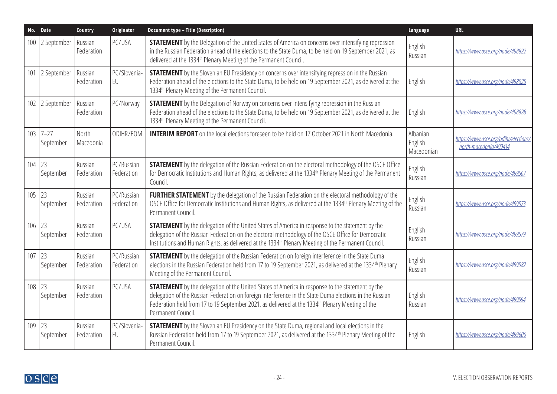| No. Date |                       | Country               | <b>Originator</b>        | <b>Document type - Title (Description)</b>                                                                                                                                                                                                                                                                                                             | Language                          | <b>URL</b>                                                      |
|----------|-----------------------|-----------------------|--------------------------|--------------------------------------------------------------------------------------------------------------------------------------------------------------------------------------------------------------------------------------------------------------------------------------------------------------------------------------------------------|-----------------------------------|-----------------------------------------------------------------|
| 100      | 2 September           | Russian<br>Federation | PC/USA                   | <b>STATEMENT</b> by the Delegation of the United States of America on concerns over intensifying repression<br>in the Russian Federation ahead of the elections to the State Duma, to be held on 19 September 2021, as<br>delivered at the 1334 <sup>th</sup> Plenary Meeting of the Permanent Council.                                                | English<br>Russian                | https://www.osce.org/node/498822                                |
| 101      | 2 September           | Russian<br>Federation | PC/Slovenia-<br>EU       | <b>STATEMENT</b> by the Slovenian EU Presidency on concerns over intensifying repression in the Russian<br>Federation ahead of the elections to the State Duma, to be held on 19 September 2021, as delivered at the<br>1334 <sup>th</sup> Plenary Meeting of the Permanent Council.                                                                   | English                           | https://www.osce.org/node/498825                                |
| 102      | 2 September           | Russian<br>Federation | PC/Norway                | <b>STATEMENT</b> by the Delegation of Norway on concerns over intensifying repression in the Russian<br>Federation ahead of the elections to the State Duma, to be held on 19 September 2021, as delivered at the<br>1334 <sup>th</sup> Plenary Meeting of the Permanent Council.                                                                      | English                           | https://www.osce.org/node/498828                                |
| 103      | $7 - 27$<br>September | North<br>Macedonia    | ODIHR/EOM                | <b>INTERIM REPORT</b> on the local elections foreseen to be held on 17 October 2021 in North Macedonia.                                                                                                                                                                                                                                                | Albanian<br>English<br>Macedonian | https://www.osce.org/odihr/elections/<br>north-macedonia/499414 |
| 104      | 23<br>September       | Russian<br>Federation | PC/Russian<br>Federation | <b>STATEMENT</b> by the delegation of the Russian Federation on the electoral methodology of the OSCE Office<br>for Democratic Institutions and Human Rights, as delivered at the 1334 <sup>th</sup> Plenary Meeting of the Permanent<br>Council.                                                                                                      | English<br>Russian                | https://www.osce.org/node/499567                                |
| 105      | 23<br>September       | Russian<br>Federation | PC/Russian<br>Federation | <b>FURTHER STATEMENT</b> by the delegation of the Russian Federation on the electoral methodology of the<br>OSCE Office for Democratic Institutions and Human Rights, as delivered at the 1334 <sup>th</sup> Plenary Meeting of the<br>Permanent Council.                                                                                              | English<br>Russian                | https://www.osce.org/node/499573                                |
| 106      | 23<br>September       | Russian<br>Federation | PC/USA                   | <b>STATEMENT</b> by the delegation of the United States of America in response to the statement by the<br>delegation of the Russian Federation on the electoral methodology of the OSCE Office for Democratic<br>Institutions and Human Rights, as delivered at the 1334 <sup>th</sup> Plenary Meeting of the Permanent Council.                       | English<br>Russian                | https://www.osce.org/node/499579                                |
| 107      | 23<br>September       | Russian<br>Federation | PC/Russian<br>Federation | <b>STATEMENT</b> by the delegation of the Russian Federation on foreign interference in the State Duma<br>elections in the Russian Federation held from 17 to 19 September 2021, as delivered at the 1334 <sup>th</sup> Plenary<br>Meeting of the Permanent Council.                                                                                   | English<br>Russian                | https://www.osce.org/node/499582                                |
| 108      | 23<br>September       | Russian<br>Federation | PC/USA                   | <b>STATEMENT</b> by the delegation of the United States of America in response to the statement by the<br>delegation of the Russian Federation on foreign interference in the State Duma elections in the Russian<br>Federation held from 17 to 19 September 2021, as delivered at the 1334 <sup>th</sup> Plenary Meeting of the<br>Permanent Council. | English<br>Russian                | https://www.osce.org/node/499594                                |
| 109      | 23<br>September       | Russian<br>Federation | PC/Slovenia-<br>EU       | <b>STATEMENT</b> by the Slovenian EU Presidency on the State Duma, regional and local elections in the<br>Russian Federation held from 17 to 19 September 2021, as delivered at the 1334 <sup>th</sup> Plenary Meeting of the<br>Permanent Council.                                                                                                    | English                           | https://www.osce.org/node/499600                                |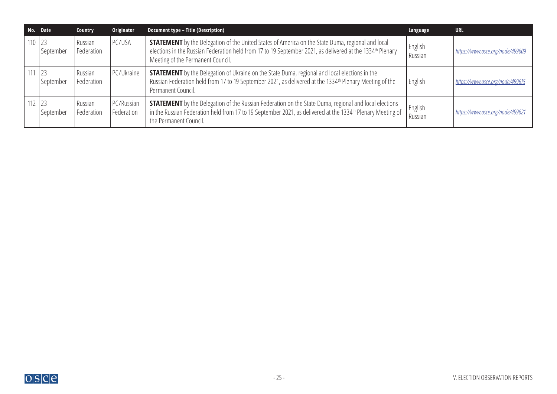|            | No. Date  | Country               | Originator               | Document type - Title (Description)                                                                                                                                                                                                                                    | Language           | <b>URL</b>                       |
|------------|-----------|-----------------------|--------------------------|------------------------------------------------------------------------------------------------------------------------------------------------------------------------------------------------------------------------------------------------------------------------|--------------------|----------------------------------|
| $110$ 23   | September | Russian<br>Federation | PC/USA                   | <b>STATEMENT</b> by the Delegation of the United States of America on the State Duma, regional and local<br>elections in the Russian Federation held from 17 to 19 September 2021, as delivered at the 1334 <sup>th</sup> Plenary<br>Meeting of the Permanent Council. | English<br>Russian | https://www.osce.org/node/499609 |
| 111        | September | Russian<br>Federation | PC/Ukraine               | <b>STATEMENT</b> by the Delegation of Ukraine on the State Duma, regional and local elections in the<br>Russian Federation held from 17 to 19 September 2021, as delivered at the 1334 <sup>th</sup> Plenary Meeting of the<br>Permanent Council.                      | English            | https://www.osce.org/node/499615 |
| $112$   23 | September | Russian<br>Federation | PC/Russian<br>Federation | <b>STATEMENT</b> by the Delegation of the Russian Federation on the State Duma, regional and local elections<br>in the Russian Federation held from 17 to 19 September 2021, as delivered at the 1334 <sup>th</sup> Plenary Meeting of<br>the Permanent Council.       | English<br>Russian | https://www.osce.org/node/499621 |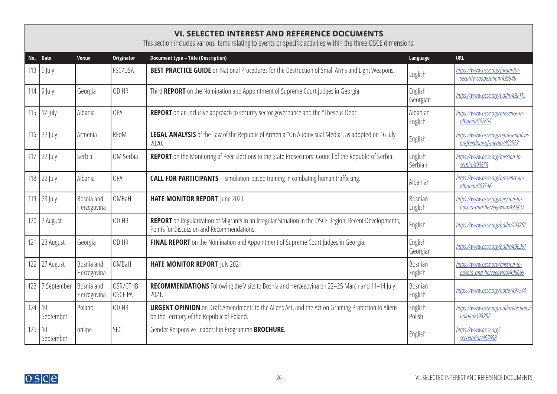## <span id="page-25-0"></span>**VI. SELECTED INTEREST AND REFERENCE DOCUMENTS**

This section includes various items relating to events or specific activities within the three OSCE dimensions.

|     | No. Date                             | Venue                     | <b>Originator</b>   | <b>Document type - Title (Description)</b>                                                                                                               | Language            | <b>URL</b>                                                         |
|-----|--------------------------------------|---------------------------|---------------------|----------------------------------------------------------------------------------------------------------------------------------------------------------|---------------------|--------------------------------------------------------------------|
| 113 | $\frac{5 \text{ July}}{2 \text{ J}}$ |                           | FSC/USA             | <b>BEST PRACTICE GUIDE</b> on National Procedures for the Destruction of Small Arms and Light Weapons.                                                   | English             | https://www.osce.org/forum-for-<br>security-cooperation/492949     |
|     | 114   $9$ July                       | Georgia                   | <b>ODIHR</b>        | Third REPORT on the Nomination and Appointment of Supreme Court Judges in Georgia.                                                                       | English<br>Georgian | https://www.osce.org/odihr/492115                                  |
| 115 | 12 July                              | Albania                   | OPA                 | REPORT on an Inclusive approach to security sector governance and the "Theseus Debt".                                                                    | Albanian<br>English | https://www.osce.org/presence-in-<br>albania/492604                |
| 116 | 22 July                              | Armenia                   | RFoM                | LEGAL ANALYSIS of the Law of the Republic of Armenia "On Audiovisual Media", as adopted on 16 July<br>2020.                                              | English             | https://www.osce.org/representative-<br>on-freedom-of-media/493522 |
| 117 | $22$ July                            | Serbia                    | OM Serbia           | REPORT on the Monitoring of Peer Elections to the State Prosecutors' Council of the Republic of Serbia.                                                  | English<br>Serbian  | https://www.osce.org/mission-to-<br>serbia/493558                  |
| 118 | 22 July                              | Albania                   | OPA                 | <b>CALL FOR PARTICIPANTS</b> - simulation-based training in combating human trafficking.                                                                 | Albanian            | https://www.osce.org/presence-in-<br>albania/493546                |
| 119 | 28 July                              | Bosnia and<br>Herzegovina | OMBaH               | HATE MONITOR REPORT, June 2021.                                                                                                                          | Bosnian<br>English  | https://www.osce.org/mission-to-<br>bosnia-and-herzegovina/493837  |
| 120 | 2 August                             |                           | <b>ODIHR</b>        | REPORT on Regularization of Migrants in an Irregular Situation in the OSCE Region: Recent Developments,<br>Points for Discussion and Recommendations.    | English             | https://www.osce.org/odihr/494251                                  |
| 121 | 23 August                            | Georgia                   | <b>ODIHR</b>        | FINAL REPORT on the Nomination and Appointment of Supreme Court Judges in Georgia.                                                                       | English<br>Georgian | https://www.osce.org/odihr/496261                                  |
| 122 | 27 August                            | Bosnia and<br>Herzegovina | OMBaH               | HATE MONITOR REPORT, July 2021.                                                                                                                          | Bosnian<br>English  | https://www.osce.org/mission-to-<br>bosnia-and-herzegovina/496669  |
| 123 | 7 September                          | Bosnia and<br>Herzegovina | OSR/CTHB<br>OSCE PA | RECOMMENDATIONS Following the Visits to Bosnia and Herzegovina on 22-25 March and 11-14 July<br>2021.                                                    | Bosnian<br>English  | https://www.osce.org/node/497374                                   |
| 124 | 10<br>September                      | Poland                    | ODIHR               | <b>URGENT OPINION</b> on Draft Amendments to the Aliens Act, and the Act on Granting Protection to Aliens<br>on the Territory of the Republic of Poland. | English<br>Polish   | https://www.osce.org/odihr/elections/<br>poland/498252             |
| 125 | 10 <sup>°</sup><br>September         | online                    | <b>SEC</b>          | Gender Responsive Leadership Programme <b>BROCHURE</b> .                                                                                                 | English             | https://www.osce.org/<br>secretariat/497698                        |